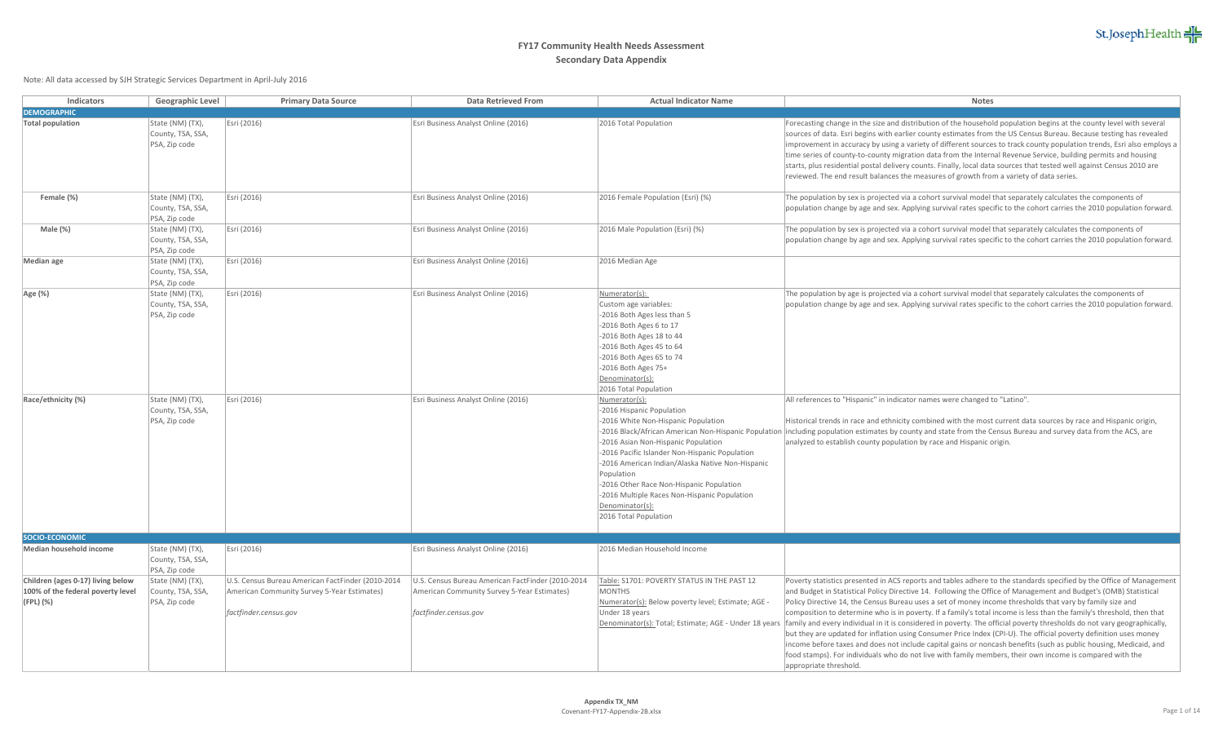

| Indicators                                                                          | Geographic Level                                       | <b>Primary Data Source</b>                                                                                                | <b>Data Retrieved From</b>                                                                                                | <b>Actual Indicator Name</b>                                                                                                                                                                                                                                                                                                                                                         | Notes                                                                                                                                                                                                                                                                                                                                                                                                                                                                                                                                                                                                                                                                                                                                                                                                                                                                                                                                                                                                                                            |
|-------------------------------------------------------------------------------------|--------------------------------------------------------|---------------------------------------------------------------------------------------------------------------------------|---------------------------------------------------------------------------------------------------------------------------|--------------------------------------------------------------------------------------------------------------------------------------------------------------------------------------------------------------------------------------------------------------------------------------------------------------------------------------------------------------------------------------|--------------------------------------------------------------------------------------------------------------------------------------------------------------------------------------------------------------------------------------------------------------------------------------------------------------------------------------------------------------------------------------------------------------------------------------------------------------------------------------------------------------------------------------------------------------------------------------------------------------------------------------------------------------------------------------------------------------------------------------------------------------------------------------------------------------------------------------------------------------------------------------------------------------------------------------------------------------------------------------------------------------------------------------------------|
| <b>DEMOGRAPHIC</b>                                                                  |                                                        |                                                                                                                           |                                                                                                                           |                                                                                                                                                                                                                                                                                                                                                                                      |                                                                                                                                                                                                                                                                                                                                                                                                                                                                                                                                                                                                                                                                                                                                                                                                                                                                                                                                                                                                                                                  |
| <b>Total population</b>                                                             | State (NM) (TX),<br>County, TSA, SSA,<br>PSA, Zip code | Esri (2016)                                                                                                               | Esri Business Analyst Online (2016)                                                                                       | 2016 Total Population                                                                                                                                                                                                                                                                                                                                                                | Forecasting change in the size and distribution of the household population begins at the county level with several<br>sources of data. Esri begins with earlier county estimates from the US Census Bureau. Because testing has revealed<br>improvement in accuracy by using a variety of different sources to track county population trends, Esri also employs a<br>time series of county-to-county migration data from the Internal Revenue Service, building permits and housing<br>starts, plus residential postal delivery counts. Finally, local data sources that tested well against Census 2010 are<br>reviewed. The end result balances the measures of growth from a variety of data series.                                                                                                                                                                                                                                                                                                                                        |
| Female (%)                                                                          | State (NM) (TX),<br>County, TSA, SSA,<br>PSA, Zip code | Esri (2016)                                                                                                               | Esri Business Analyst Online (2016)                                                                                       | 2016 Female Population (Esri) (%)                                                                                                                                                                                                                                                                                                                                                    | The population by sex is projected via a cohort survival model that separately calculates the components of<br>population change by age and sex. Applying survival rates specific to the cohort carries the 2010 population forward.                                                                                                                                                                                                                                                                                                                                                                                                                                                                                                                                                                                                                                                                                                                                                                                                             |
| Male (%)                                                                            | State (NM) (TX),<br>County, TSA, SSA,<br>PSA, Zip code | Esri (2016)                                                                                                               | Esri Business Analyst Online (2016)                                                                                       | 2016 Male Population (Esri) (%)                                                                                                                                                                                                                                                                                                                                                      | The population by sex is projected via a cohort survival model that separately calculates the components of<br>population change by age and sex. Applying survival rates specific to the cohort carries the 2010 population forward.                                                                                                                                                                                                                                                                                                                                                                                                                                                                                                                                                                                                                                                                                                                                                                                                             |
| Median age                                                                          | State (NM) (TX),<br>County, TSA, SSA,<br>PSA, Zip code | Esri (2016)                                                                                                               | Esri Business Analyst Online (2016)                                                                                       | 2016 Median Age                                                                                                                                                                                                                                                                                                                                                                      |                                                                                                                                                                                                                                                                                                                                                                                                                                                                                                                                                                                                                                                                                                                                                                                                                                                                                                                                                                                                                                                  |
| Age (%)                                                                             | State (NM) (TX),<br>County, TSA, SSA,<br>PSA, Zip code | Esri (2016)                                                                                                               | Esri Business Analyst Online (2016)                                                                                       | Numerator(s):<br>Custom age variables:<br>-2016 Both Ages less than 5<br>-2016 Both Ages 6 to 17<br>-2016 Both Ages 18 to 44<br>-2016 Both Ages 45 to 64<br>-2016 Both Ages 65 to 74<br>-2016 Both Ages 75+<br>Denominator(s):<br>2016 Total Population                                                                                                                              | The population by age is projected via a cohort survival model that separately calculates the components of<br>population change by age and sex. Applying survival rates specific to the cohort carries the 2010 population forward.                                                                                                                                                                                                                                                                                                                                                                                                                                                                                                                                                                                                                                                                                                                                                                                                             |
| Race/ethnicity (%)                                                                  | State (NM) (TX),<br>County, TSA, SSA,<br>PSA, Zip code | Esri (2016)                                                                                                               | Esri Business Analyst Online (2016)                                                                                       | Numerator(s):<br>-2016 Hispanic Population<br>-2016 White Non-Hispanic Population<br>-2016 Asian Non-Hispanic Population<br>-2016 Pacific Islander Non-Hispanic Population<br>-2016 American Indian/Alaska Native Non-Hispanic<br>Population<br>-2016 Other Race Non-Hispanic Population<br>-2016 Multiple Races Non-Hispanic Population<br>Denominator(s):<br>2016 Total Population | All references to "Hispanic" in indicator names were changed to "Latino".<br>Historical trends in race and ethnicity combined with the most current data sources by race and Hispanic origin,<br>-2016 Black/African American Non-Hispanic Population  including population estimates by county and state from the Census Bureau and survey data from the ACS, are<br>analyzed to establish county population by race and Hispanic origin.                                                                                                                                                                                                                                                                                                                                                                                                                                                                                                                                                                                                       |
| SOCIO-ECONOMIC                                                                      |                                                        |                                                                                                                           |                                                                                                                           |                                                                                                                                                                                                                                                                                                                                                                                      |                                                                                                                                                                                                                                                                                                                                                                                                                                                                                                                                                                                                                                                                                                                                                                                                                                                                                                                                                                                                                                                  |
| Median household income                                                             | State (NM) (TX),<br>County, TSA, SSA,<br>PSA, Zip code | Esri (2016)                                                                                                               | Esri Business Analyst Online (2016)                                                                                       | 2016 Median Household Income                                                                                                                                                                                                                                                                                                                                                         |                                                                                                                                                                                                                                                                                                                                                                                                                                                                                                                                                                                                                                                                                                                                                                                                                                                                                                                                                                                                                                                  |
| Children (ages 0-17) living below<br>100% of the federal poverty level<br>(FPL) (%) | State (NM) (TX),<br>County, TSA, SSA,<br>PSA, Zip code | U.S. Census Bureau American FactFinder (2010-2014<br>American Community Survey 5-Year Estimates)<br>factfinder.census.gov | U.S. Census Bureau American FactFinder (2010-2014<br>American Community Survey 5-Year Estimates)<br>factfinder.census.gov | Table: S1701: POVERTY STATUS IN THE PAST 12<br><b>MONTHS</b><br>Numerator(s): Below poverty level; Estimate; AGE<br>Under 18 years                                                                                                                                                                                                                                                   | Poverty statistics presented in ACS reports and tables adhere to the standards specified by the Office of Management<br>and Budget in Statistical Policy Directive 14. Following the Office of Management and Budget's (OMB) Statistical<br>Policy Directive 14, the Census Bureau uses a set of money income thresholds that vary by family size and<br>composition to determine who is in poverty. If a family's total income is less than the family's threshold, then that<br>Denominator(s): Total; Estimate; AGE - Under 18 years  family and every individual in it is considered in poverty. The official poverty thresholds do not vary geographically,<br>but they are updated for inflation using Consumer Price Index (CPI-U). The official poverty definition uses money<br>income before taxes and does not include capital gains or noncash benefits (such as public housing, Medicaid, and<br>food stamps). For individuals who do not live with family members, their own income is compared with the<br>appropriate threshold. |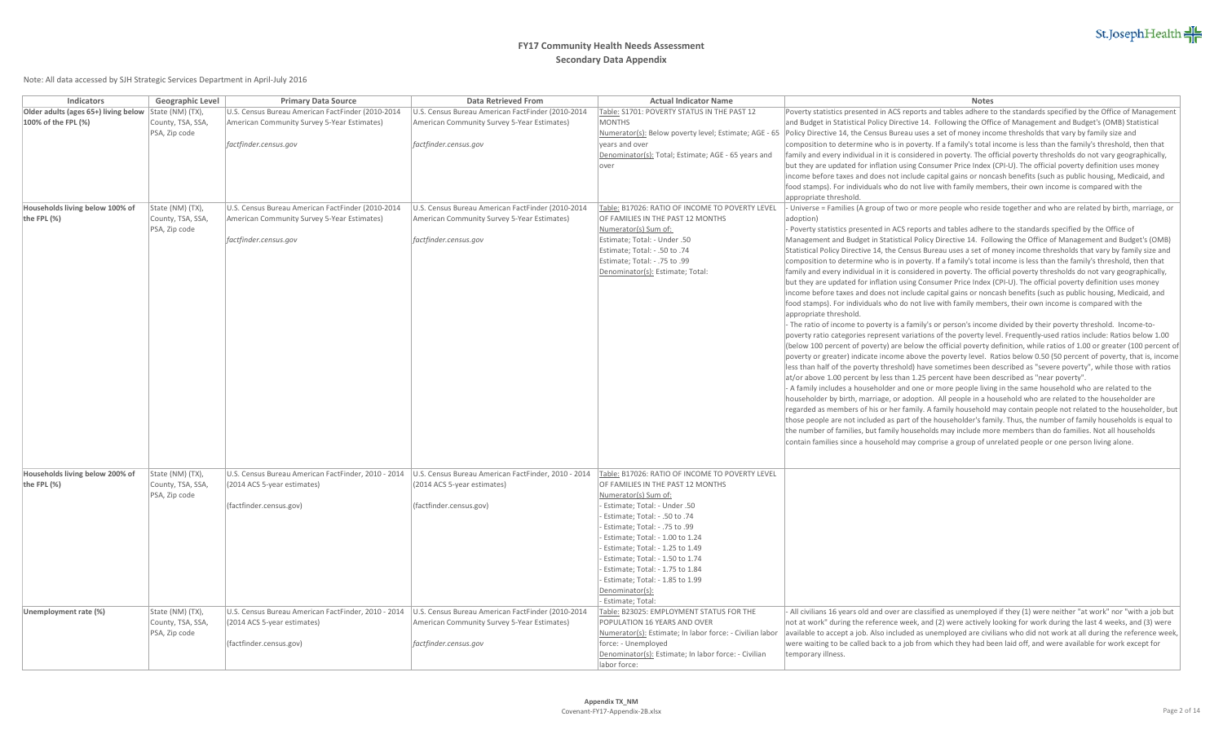

| Indicators                                     | Geographic Level                                       | <b>Primary Data Source</b>                                                                             | Data Retrieved From                                                                                                                                       | <b>Actual Indicator Name</b>                                                                                                       | Notes                                                                                                                                                                                                                                                                                                                                                                                                                                                                                        |
|------------------------------------------------|--------------------------------------------------------|--------------------------------------------------------------------------------------------------------|-----------------------------------------------------------------------------------------------------------------------------------------------------------|------------------------------------------------------------------------------------------------------------------------------------|----------------------------------------------------------------------------------------------------------------------------------------------------------------------------------------------------------------------------------------------------------------------------------------------------------------------------------------------------------------------------------------------------------------------------------------------------------------------------------------------|
| Older adults (ages 65+) living below           | State (NM) (TX),                                       | U.S. Census Bureau American FactFinder (2010-2014                                                      | U.S. Census Bureau American FactFinder (2010-2014                                                                                                         | Table: S1701: POVERTY STATUS IN THE PAST 12                                                                                        | Poverty statistics presented in ACS reports and tables adhere to the standards specified by the Office of Management                                                                                                                                                                                                                                                                                                                                                                         |
| 100% of the FPL (%)                            | County, TSA, SSA,<br>PSA, Zip code                     | American Community Survey 5-Year Estimates)                                                            | American Community Survey 5-Year Estimates)                                                                                                               | <b>MONTHS</b>                                                                                                                      | and Budget in Statistical Policy Directive 14. Following the Office of Management and Budget's (OMB) Statistical<br>Numerator(s): Below poverty level; Estimate; AGE - 65   Policy Directive 14, the Census Bureau uses a set of money income thresholds that vary by family size and                                                                                                                                                                                                        |
|                                                |                                                        | factfinder.census.gov                                                                                  | factfinder.census.gov                                                                                                                                     | years and over<br>Denominator(s): Total; Estimate; AGE - 65 years and                                                              | composition to determine who is in poverty. If a family's total income is less than the family's threshold, then that<br>family and every individual in it is considered in poverty. The official poverty thresholds do not vary geographically,                                                                                                                                                                                                                                             |
|                                                |                                                        |                                                                                                        |                                                                                                                                                           | over                                                                                                                               | but they are updated for inflation using Consumer Price Index (CPI-U). The official poverty definition uses money<br>income before taxes and does not include capital gains or noncash benefits (such as public housing, Medicaid, and<br>food stamps). For individuals who do not live with family members, their own income is compared with the                                                                                                                                           |
|                                                |                                                        |                                                                                                        |                                                                                                                                                           |                                                                                                                                    | appropriate threshold.                                                                                                                                                                                                                                                                                                                                                                                                                                                                       |
| Households living below 100% of<br>the FPL (%) | State (NM) (TX),<br>County, TSA, SSA,<br>PSA, Zip code | U.S. Census Bureau American FactFinder (2010-2014<br>American Community Survey 5-Year Estimates)       | U.S. Census Bureau American FactFinder (2010-2014<br>American Community Survey 5-Year Estimates)                                                          | Table: B17026: RATIO OF INCOME TO POVERTY LEVEL<br>OF FAMILIES IN THE PAST 12 MONTHS<br>Numerator(s) Sum of:                       | - Universe = Families (A group of two or more people who reside together and who are related by birth, marriage, or<br>adoption)<br>- Poverty statistics presented in ACS reports and tables adhere to the standards specified by the Office of                                                                                                                                                                                                                                              |
|                                                |                                                        | factfinder.census.gov                                                                                  | factfinder.census.gov                                                                                                                                     | Estimate; Total: - Under .50<br>Estimate; Total: - .50 to .74<br>Estimate; Total: - .75 to .99<br>Denominator(s): Estimate; Total: | Management and Budget in Statistical Policy Directive 14. Following the Office of Management and Budget's (OMB)<br>Statistical Policy Directive 14, the Census Bureau uses a set of money income thresholds that vary by family size and<br>composition to determine who is in poverty. If a family's total income is less than the family's threshold, then that<br>family and every individual in it is considered in poverty. The official poverty thresholds do not vary geographically, |
|                                                |                                                        |                                                                                                        |                                                                                                                                                           |                                                                                                                                    | but they are updated for inflation using Consumer Price Index (CPI-U). The official poverty definition uses money<br>income before taxes and does not include capital gains or noncash benefits (such as public housing, Medicaid, and<br>food stamps). For individuals who do not live with family members, their own income is compared with the<br>appropriate threshold.                                                                                                                 |
|                                                |                                                        |                                                                                                        |                                                                                                                                                           |                                                                                                                                    | - The ratio of income to poverty is a family's or person's income divided by their poverty threshold. Income-to-<br>poverty ratio categories represent variations of the poverty level. Frequently-used ratios include: Ratios below 1.00<br>(below 100 percent of poverty) are below the official poverty definition, while ratios of 1.00 or greater (100 percent of                                                                                                                       |
|                                                |                                                        |                                                                                                        |                                                                                                                                                           |                                                                                                                                    | poverty or greater) indicate income above the poverty level. Ratios below 0.50 (50 percent of poverty, that is, income<br>less than half of the poverty threshold) have sometimes been described as "severe poverty", while those with ratios<br>at/or above 1.00 percent by less than 1.25 percent have been described as "near poverty".                                                                                                                                                   |
|                                                |                                                        |                                                                                                        |                                                                                                                                                           |                                                                                                                                    | - A family includes a householder and one or more people living in the same household who are related to the<br>householder by birth, marriage, or adoption. All people in a household who are related to the householder are<br>regarded as members of his or her family. A family household may contain people not related to the householder, but<br>those people are not included as part of the householder's family. Thus, the number of family households is equal to                 |
|                                                |                                                        |                                                                                                        |                                                                                                                                                           |                                                                                                                                    | the number of families, but family households may include more members than do families. Not all households<br>contain families since a household may comprise a group of unrelated people or one person living alone.                                                                                                                                                                                                                                                                       |
| Households living below 200% of                | State (NM) (TX),                                       |                                                                                                        | U.S. Census Bureau American FactFinder, 2010 - 2014  U.S. Census Bureau American FactFinder, 2010 - 2014  Table: B17026: RATIO OF INCOME TO POVERTY LEVEL |                                                                                                                                    |                                                                                                                                                                                                                                                                                                                                                                                                                                                                                              |
| the FPL (%)                                    | County, TSA, SSA,                                      | (2014 ACS 5-year estimates)                                                                            | (2014 ACS 5-year estimates)                                                                                                                               | OF FAMILIES IN THE PAST 12 MONTHS                                                                                                  |                                                                                                                                                                                                                                                                                                                                                                                                                                                                                              |
|                                                | PSA, Zip code                                          |                                                                                                        |                                                                                                                                                           | Numerator(s) Sum of:                                                                                                               |                                                                                                                                                                                                                                                                                                                                                                                                                                                                                              |
|                                                |                                                        | (factfinder.census.gov)                                                                                | (factfinder.census.gov)                                                                                                                                   | - Estimate: Total: - Under .50                                                                                                     |                                                                                                                                                                                                                                                                                                                                                                                                                                                                                              |
|                                                |                                                        |                                                                                                        |                                                                                                                                                           | - Estimate; Total: - .50 to .74<br>- Estimate; Total: - .75 to .99                                                                 |                                                                                                                                                                                                                                                                                                                                                                                                                                                                                              |
|                                                |                                                        |                                                                                                        |                                                                                                                                                           | Estimate; Total: - 1.00 to 1.24                                                                                                    |                                                                                                                                                                                                                                                                                                                                                                                                                                                                                              |
|                                                |                                                        |                                                                                                        |                                                                                                                                                           | Estimate; Total: - 1.25 to 1.49                                                                                                    |                                                                                                                                                                                                                                                                                                                                                                                                                                                                                              |
|                                                |                                                        |                                                                                                        |                                                                                                                                                           | Estimate: Total: - 1.50 to 1.74                                                                                                    |                                                                                                                                                                                                                                                                                                                                                                                                                                                                                              |
|                                                |                                                        |                                                                                                        |                                                                                                                                                           | Estimate; Total: - 1.75 to 1.84                                                                                                    |                                                                                                                                                                                                                                                                                                                                                                                                                                                                                              |
|                                                |                                                        |                                                                                                        |                                                                                                                                                           | - Estimate; Total: - 1.85 to 1.99                                                                                                  |                                                                                                                                                                                                                                                                                                                                                                                                                                                                                              |
|                                                |                                                        |                                                                                                        |                                                                                                                                                           | Denominator(s):<br>- Estimate; Total:                                                                                              |                                                                                                                                                                                                                                                                                                                                                                                                                                                                                              |
| Unemployment rate (%)                          | State (NM) (TX),                                       | U.S. Census Bureau American FactFinder, 2010 - 2014  U.S. Census Bureau American FactFinder (2010-2014 |                                                                                                                                                           | Table: B23025: EMPLOYMENT STATUS FOR THE                                                                                           | - All civilians 16 years old and over are classified as unemployed if they (1) were neither "at work" nor "with a job but                                                                                                                                                                                                                                                                                                                                                                    |
|                                                | County, TSA, SSA,                                      | (2014 ACS 5-year estimates)                                                                            | American Community Survey 5-Year Estimates)                                                                                                               | POPULATION 16 YEARS AND OVER                                                                                                       | not at work" during the reference week, and (2) were actively looking for work during the last 4 weeks, and (3) were                                                                                                                                                                                                                                                                                                                                                                         |
|                                                | PSA, Zip code                                          |                                                                                                        |                                                                                                                                                           | Numerator(s): Estimate; In labor force: - Civilian labor                                                                           | available to accept a job. Also included as unemployed are civilians who did not work at all during the reference week,                                                                                                                                                                                                                                                                                                                                                                      |
|                                                |                                                        | (factfinder.census.gov)                                                                                | factfinder.census.gov                                                                                                                                     | force: - Unemployed                                                                                                                | were waiting to be called back to a job from which they had been laid off, and were available for work except for                                                                                                                                                                                                                                                                                                                                                                            |
|                                                |                                                        |                                                                                                        |                                                                                                                                                           | Denominator(s): Estimate; In labor force: - Civilian<br>labor force:                                                               | temporary illness.                                                                                                                                                                                                                                                                                                                                                                                                                                                                           |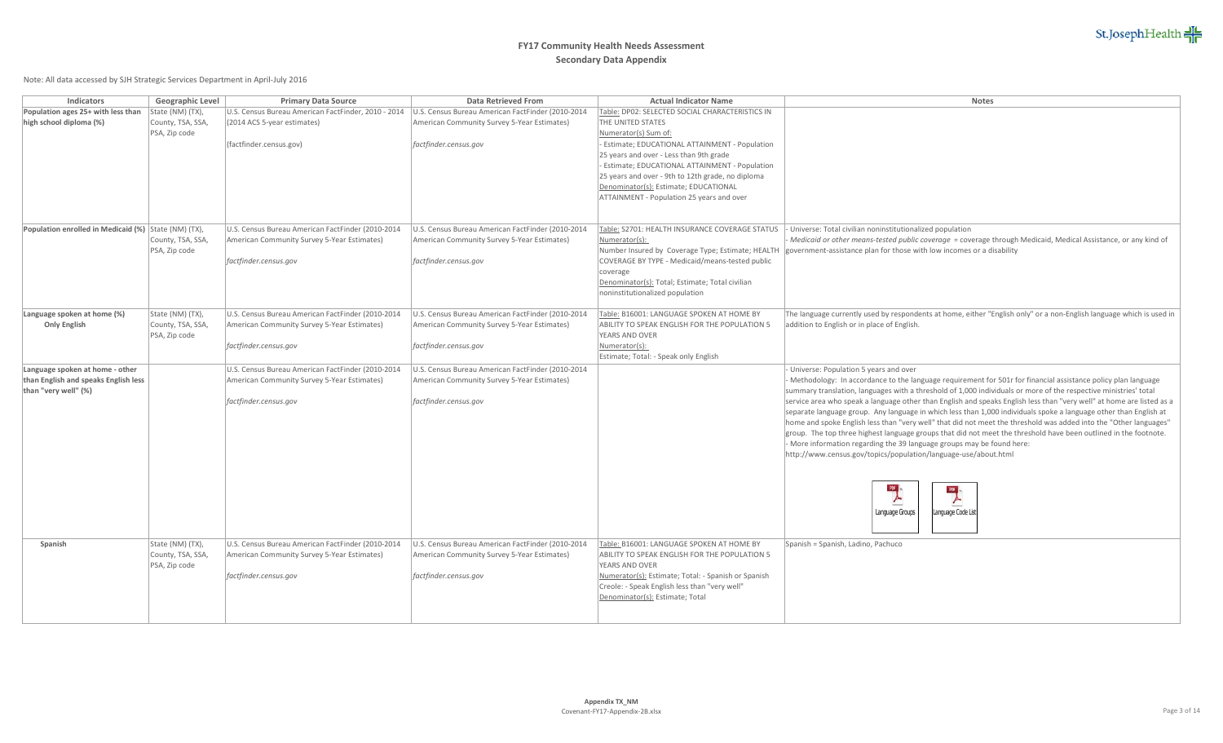

| Indicators                                                   | Geographic Level                   | <b>Primary Data Source</b>                          | Data Retrieved From                               | <b>Actual Indicator Name</b>                                    | <b>Notes</b>                                                                                                                                                                                                                        |
|--------------------------------------------------------------|------------------------------------|-----------------------------------------------------|---------------------------------------------------|-----------------------------------------------------------------|-------------------------------------------------------------------------------------------------------------------------------------------------------------------------------------------------------------------------------------|
| Population ages 25+ with less than                           | State (NM) (TX),                   | U.S. Census Bureau American FactFinder, 2010 - 2014 | U.S. Census Bureau American FactFinder (2010-2014 | Table: DP02: SELECTED SOCIAL CHARACTERISTICS IN                 |                                                                                                                                                                                                                                     |
| high school diploma (%)                                      | County, TSA, SSA,                  | (2014 ACS 5-year estimates)                         | American Community Survey 5-Year Estimates)       | THE UNITED STATES                                               |                                                                                                                                                                                                                                     |
|                                                              | PSA, Zip code                      |                                                     |                                                   | Numerator(s) Sum of:                                            |                                                                                                                                                                                                                                     |
|                                                              |                                    | (factfinder.census.gov)                             | factfinder.census.gov                             | - Estimate; EDUCATIONAL ATTAINMENT - Population                 |                                                                                                                                                                                                                                     |
|                                                              |                                    |                                                     |                                                   | 25 years and over - Less than 9th grade                         |                                                                                                                                                                                                                                     |
|                                                              |                                    |                                                     |                                                   | - Estimate; EDUCATIONAL ATTAINMENT - Population                 |                                                                                                                                                                                                                                     |
|                                                              |                                    |                                                     |                                                   | 25 years and over - 9th to 12th grade, no diploma               |                                                                                                                                                                                                                                     |
|                                                              |                                    |                                                     |                                                   | Denominator(s): Estimate; EDUCATIONAL                           |                                                                                                                                                                                                                                     |
|                                                              |                                    |                                                     |                                                   | ATTAINMENT - Population 25 years and over                       |                                                                                                                                                                                                                                     |
|                                                              |                                    |                                                     |                                                   |                                                                 |                                                                                                                                                                                                                                     |
| Population enrolled in Medicaid (%) State (NM) (TX),         |                                    | U.S. Census Bureau American FactFinder (2010-2014   | U.S. Census Bureau American FactFinder (2010-2014 | Table: S2701: HEALTH INSURANCE COVERAGE STATUS                  | - Universe: Total civilian noninstitutionalized population                                                                                                                                                                          |
|                                                              | County, TSA, SSA,                  | American Community Survey 5-Year Estimates)         | American Community Survey 5-Year Estimates)       | Numerator(s):                                                   | Medicaid or other means-tested public coverage = coverage through Medicaid, Medical Assistance, or any kind of                                                                                                                      |
|                                                              | PSA, Zip code                      |                                                     |                                                   | Number Insured by Coverage Type; Estimate; HEALTH               | government-assistance plan for those with low incomes or a disability                                                                                                                                                               |
|                                                              |                                    | factfinder.census.gov                               | factfinder.census.gov                             | COVERAGE BY TYPE - Medicaid/means-tested public                 |                                                                                                                                                                                                                                     |
|                                                              |                                    |                                                     |                                                   | coverage                                                        |                                                                                                                                                                                                                                     |
|                                                              |                                    |                                                     |                                                   | Denominator(s): Total; Estimate; Total civilian                 |                                                                                                                                                                                                                                     |
|                                                              |                                    |                                                     |                                                   | noninstitutionalized population                                 |                                                                                                                                                                                                                                     |
|                                                              |                                    |                                                     |                                                   |                                                                 |                                                                                                                                                                                                                                     |
| Language spoken at home (%)                                  | State (NM) (TX),                   | U.S. Census Bureau American FactFinder (2010-2014   | U.S. Census Bureau American FactFinder (2010-2014 | Table: B16001: LANGUAGE SPOKEN AT HOME BY                       | The language currently used by respondents at home, either "English only" or a non-English language which is used in                                                                                                                |
| <b>Only English</b>                                          | County, TSA, SSA,                  | American Community Survey 5-Year Estimates)         | American Community Survey 5-Year Estimates)       | ABILITY TO SPEAK ENGLISH FOR THE POPULATION 5                   | addition to English or in place of English.                                                                                                                                                                                         |
|                                                              | PSA, Zip code                      |                                                     |                                                   | YEARS AND OVER                                                  |                                                                                                                                                                                                                                     |
|                                                              |                                    | factfinder.census.gov                               | factfinder.census.gov                             | Numerator(s):                                                   |                                                                                                                                                                                                                                     |
|                                                              |                                    |                                                     |                                                   | Estimate; Total: - Speak only English                           |                                                                                                                                                                                                                                     |
| Language spoken at home - other                              |                                    | U.S. Census Bureau American FactFinder (2010-2014   | U.S. Census Bureau American FactFinder (2010-2014 |                                                                 | Universe: Population 5 years and over                                                                                                                                                                                               |
| than English and speaks English less<br>than "very well" (%) |                                    | American Community Survey 5-Year Estimates)         | American Community Survey 5-Year Estimates)       |                                                                 | - Methodology: In accordance to the language requirement for 501r for financial assistance policy plan language<br>summary translation, languages with a threshold of 1,000 individuals or more of the respective ministries' total |
|                                                              |                                    | factfinder.census.gov                               | factfinder.census.gov                             |                                                                 | service area who speak a language other than English and speaks English less than "very well" at home are listed as a                                                                                                               |
|                                                              |                                    |                                                     |                                                   |                                                                 | separate language group. Any language in which less than 1,000 individuals spoke a language other than English at                                                                                                                   |
|                                                              |                                    |                                                     |                                                   |                                                                 | home and spoke English less than "very well" that did not meet the threshold was added into the "Other languages"                                                                                                                   |
|                                                              |                                    |                                                     |                                                   |                                                                 | group. The top three highest language groups that did not meet the threshold have been outlined in the footnote.                                                                                                                    |
|                                                              |                                    |                                                     |                                                   |                                                                 | - More information regarding the 39 language groups may be found here:                                                                                                                                                              |
|                                                              |                                    |                                                     |                                                   |                                                                 | http://www.census.gov/topics/population/language-use/about.html                                                                                                                                                                     |
|                                                              |                                    |                                                     |                                                   |                                                                 |                                                                                                                                                                                                                                     |
|                                                              |                                    |                                                     |                                                   |                                                                 |                                                                                                                                                                                                                                     |
|                                                              |                                    |                                                     |                                                   |                                                                 | $\overline{\mathbf{r}}$<br>105 <sub>1</sub>                                                                                                                                                                                         |
|                                                              |                                    |                                                     |                                                   |                                                                 | ≻                                                                                                                                                                                                                                   |
|                                                              |                                    |                                                     |                                                   |                                                                 | Language Groups<br>Language Code List                                                                                                                                                                                               |
|                                                              |                                    |                                                     |                                                   |                                                                 |                                                                                                                                                                                                                                     |
|                                                              |                                    |                                                     |                                                   |                                                                 |                                                                                                                                                                                                                                     |
| Spanish                                                      | State (NM) (TX),                   | U.S. Census Bureau American FactFinder (2010-2014   | U.S. Census Bureau American FactFinder (2010-2014 | Table: B16001: LANGUAGE SPOKEN AT HOME BY                       | Spanish = Spanish, Ladino, Pachuco                                                                                                                                                                                                  |
|                                                              | County, TSA, SSA,<br>PSA, Zip code | American Community Survey 5-Year Estimates)         | American Community Survey 5-Year Estimates)       | ABILITY TO SPEAK ENGLISH FOR THE POPULATION 5<br>YEARS AND OVER |                                                                                                                                                                                                                                     |
|                                                              |                                    | factfinder.census.gov                               | factfinder.census.gov                             | Numerator(s): Estimate; Total: - Spanish or Spanish             |                                                                                                                                                                                                                                     |
|                                                              |                                    |                                                     |                                                   | Creole: - Speak English less than "very well"                   |                                                                                                                                                                                                                                     |
|                                                              |                                    |                                                     |                                                   | Denominator(s): Estimate; Total                                 |                                                                                                                                                                                                                                     |
|                                                              |                                    |                                                     |                                                   |                                                                 |                                                                                                                                                                                                                                     |
|                                                              |                                    |                                                     |                                                   |                                                                 |                                                                                                                                                                                                                                     |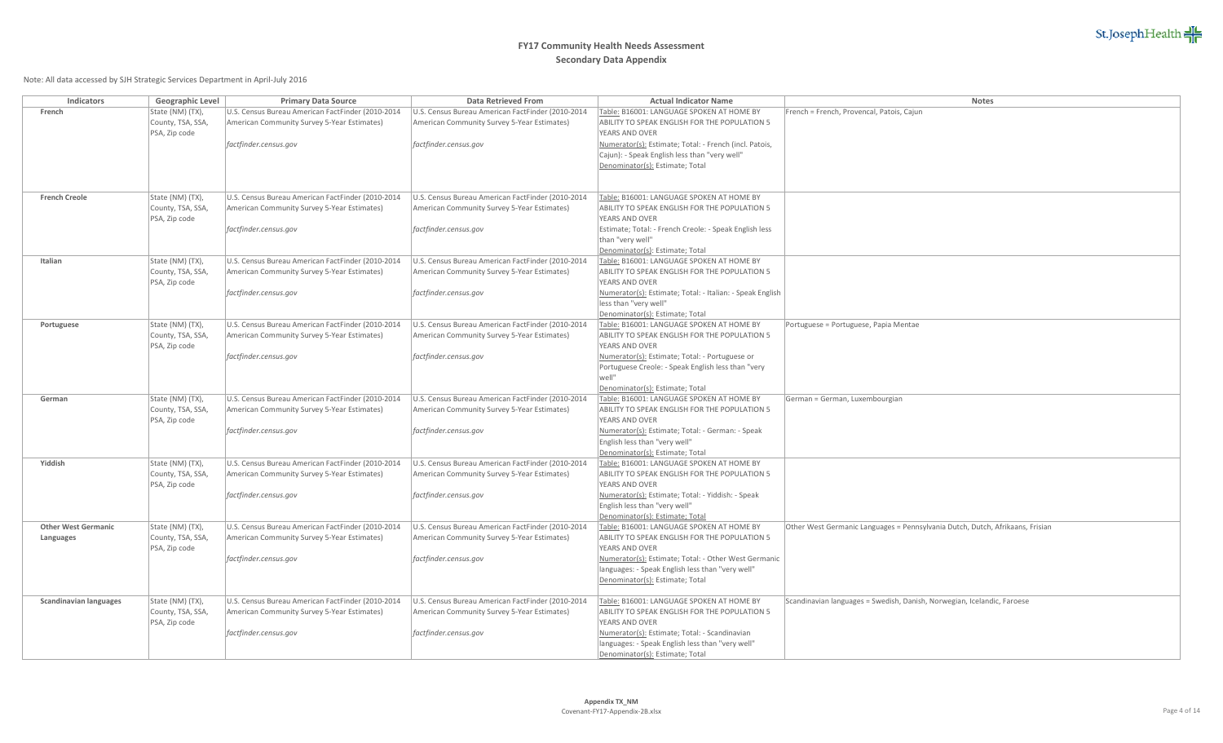

| Indicators                    | Geographic Level  | <b>Primary Data Source</b>                        | <b>Data Retrieved From</b>                        | <b>Actual Indicator Name</b>                                     | Notes                                                                         |
|-------------------------------|-------------------|---------------------------------------------------|---------------------------------------------------|------------------------------------------------------------------|-------------------------------------------------------------------------------|
| French                        | State (NM) (TX),  | U.S. Census Bureau American FactFinder (2010-2014 | U.S. Census Bureau American FactFinder (2010-2014 | Table: B16001: LANGUAGE SPOKEN AT HOME BY                        | French = French, Provencal, Patois, Cajun                                     |
|                               | County, TSA, SSA  | American Community Survey 5-Year Estimates)       | American Community Survey 5-Year Estimates)       | ABILITY TO SPEAK ENGLISH FOR THE POPULATION 5                    |                                                                               |
|                               | PSA, Zip code     |                                                   |                                                   | YEARS AND OVER                                                   |                                                                               |
|                               |                   | factfinder.census.gov                             | factfinder.census.gov                             | Numerator(s): Estimate; Total: - French (incl. Patois,           |                                                                               |
|                               |                   |                                                   |                                                   | Cajun): - Speak English less than "very well"                    |                                                                               |
|                               |                   |                                                   |                                                   | Denominator(s): Estimate; Total                                  |                                                                               |
|                               |                   |                                                   |                                                   |                                                                  |                                                                               |
| <b>French Creole</b>          | State (NM) (TX),  | U.S. Census Bureau American FactFinder (2010-2014 | U.S. Census Bureau American FactFinder (2010-2014 | Table: B16001: LANGUAGE SPOKEN AT HOME BY                        |                                                                               |
|                               | County, TSA, SSA, | American Community Survey 5-Year Estimates)       | American Community Survey 5-Year Estimates)       | ABILITY TO SPEAK ENGLISH FOR THE POPULATION 5                    |                                                                               |
|                               | PSA, Zip code     |                                                   |                                                   | YEARS AND OVER                                                   |                                                                               |
|                               |                   | factfinder.census.gov                             | factfinder.census.gov                             | Estimate; Total: - French Creole: - Speak English less           |                                                                               |
|                               |                   |                                                   |                                                   | than "very well"                                                 |                                                                               |
|                               |                   |                                                   |                                                   | Denominator(s): Estimate; Total                                  |                                                                               |
| Italian                       | State (NM) (TX),  | U.S. Census Bureau American FactFinder (2010-2014 | U.S. Census Bureau American FactFinder (2010-2014 | Table: B16001: LANGUAGE SPOKEN AT HOME BY                        |                                                                               |
|                               | County, TSA, SSA, | American Community Survey 5-Year Estimates)       | American Community Survey 5-Year Estimates)       | ABILITY TO SPEAK ENGLISH FOR THE POPULATION 5                    |                                                                               |
|                               | PSA, Zip code     |                                                   |                                                   | YEARS AND OVER                                                   |                                                                               |
|                               |                   | factfinder.census.gov                             | factfinder.census.gov                             | Numerator(s): Estimate; Total: - Italian: - Speak English        |                                                                               |
|                               |                   |                                                   |                                                   | less than "very well"<br>Denominator(s): Estimate; Total         |                                                                               |
| Portuguese                    | State (NM) (TX),  | U.S. Census Bureau American FactFinder (2010-2014 | U.S. Census Bureau American FactFinder (2010-2014 | Table: B16001: LANGUAGE SPOKEN AT HOME BY                        | Portuguese = Portuguese, Papia Mentae                                         |
|                               | County, TSA, SSA, | American Community Survey 5-Year Estimates)       | American Community Survey 5-Year Estimates)       | ABILITY TO SPEAK ENGLISH FOR THE POPULATION 5                    |                                                                               |
|                               | PSA, Zip code     |                                                   |                                                   | YEARS AND OVER                                                   |                                                                               |
|                               |                   | factfinder.census.gov                             | factfinder.census.gov                             | Numerator(s): Estimate; Total: - Portuguese or                   |                                                                               |
|                               |                   |                                                   |                                                   | Portuguese Creole: - Speak English less than "very               |                                                                               |
|                               |                   |                                                   |                                                   | well"                                                            |                                                                               |
|                               |                   |                                                   |                                                   | Denominator(s): Estimate; Total                                  |                                                                               |
| German                        | State (NM) (TX),  | U.S. Census Bureau American FactFinder (2010-2014 | U.S. Census Bureau American FactFinder (2010-2014 | Table: B16001: LANGUAGE SPOKEN AT HOME BY                        | German = German, Luxembourgian                                                |
|                               | County, TSA, SSA, | American Community Survey 5-Year Estimates)       | American Community Survey 5-Year Estimates)       | ABILITY TO SPEAK ENGLISH FOR THE POPULATION 5                    |                                                                               |
|                               | PSA, Zip code     |                                                   |                                                   | YEARS AND OVER                                                   |                                                                               |
|                               |                   | factfinder.census.gov                             | factfinder.census.gov                             | Numerator(s): Estimate; Total: - German: - Speak                 |                                                                               |
|                               |                   |                                                   |                                                   | English less than "very well"<br>Denominator(s): Estimate; Total |                                                                               |
| Yiddish                       | State (NM) (TX),  | U.S. Census Bureau American FactFinder (2010-2014 | U.S. Census Bureau American FactFinder (2010-2014 | Table: B16001: LANGUAGE SPOKEN AT HOME BY                        |                                                                               |
|                               | County, TSA, SSA, | American Community Survey 5-Year Estimates)       | American Community Survey 5-Year Estimates)       | ABILITY TO SPEAK ENGLISH FOR THE POPULATION 5                    |                                                                               |
|                               | PSA, Zip code     |                                                   |                                                   | YEARS AND OVER                                                   |                                                                               |
|                               |                   | factfinder.census.gov                             | factfinder.census.gov                             | Numerator(s): Estimate; Total: - Yiddish: - Speak                |                                                                               |
|                               |                   |                                                   |                                                   | English less than "very well"                                    |                                                                               |
|                               |                   |                                                   |                                                   | Denominator(s): Estimate; Total                                  |                                                                               |
| <b>Other West Germanic</b>    | State (NM) (TX),  | U.S. Census Bureau American FactFinder (2010-2014 | U.S. Census Bureau American FactFinder (2010-2014 | Table: B16001: LANGUAGE SPOKEN AT HOME BY                        | Other West Germanic Languages = Pennsylvania Dutch, Dutch, Afrikaans, Frisian |
| Languages                     | County, TSA, SSA, | American Community Survey 5-Year Estimates)       | American Community Survey 5-Year Estimates)       | ABILITY TO SPEAK ENGLISH FOR THE POPULATION 5                    |                                                                               |
|                               | PSA, Zip code     |                                                   |                                                   | YEARS AND OVER                                                   |                                                                               |
|                               |                   | factfinder.census.gov                             | factfinder.census.gov                             | Numerator(s): Estimate; Total: - Other West Germanic             |                                                                               |
|                               |                   |                                                   |                                                   | languages: - Speak English less than "very well"                 |                                                                               |
|                               |                   |                                                   |                                                   | Denominator(s): Estimate; Total                                  |                                                                               |
| <b>Scandinavian languages</b> | State (NM) (TX),  | U.S. Census Bureau American FactFinder (2010-2014 | U.S. Census Bureau American FactFinder (2010-2014 | Table: B16001: LANGUAGE SPOKEN AT HOME BY                        | Scandinavian languages = Swedish, Danish, Norwegian, Icelandic, Faroese       |
|                               | County, TSA, SSA, | American Community Survey 5-Year Estimates)       | American Community Survey 5-Year Estimates)       | ABILITY TO SPEAK ENGLISH FOR THE POPULATION 5                    |                                                                               |
|                               | PSA, Zip code     |                                                   |                                                   | YEARS AND OVER                                                   |                                                                               |
|                               |                   | factfinder.census.gov                             | factfinder.census.gov                             | Numerator(s): Estimate; Total: - Scandinavian                    |                                                                               |
|                               |                   |                                                   |                                                   | languages: - Speak English less than "very well"                 |                                                                               |
|                               |                   |                                                   |                                                   | Denominator(s): Estimate; Total                                  |                                                                               |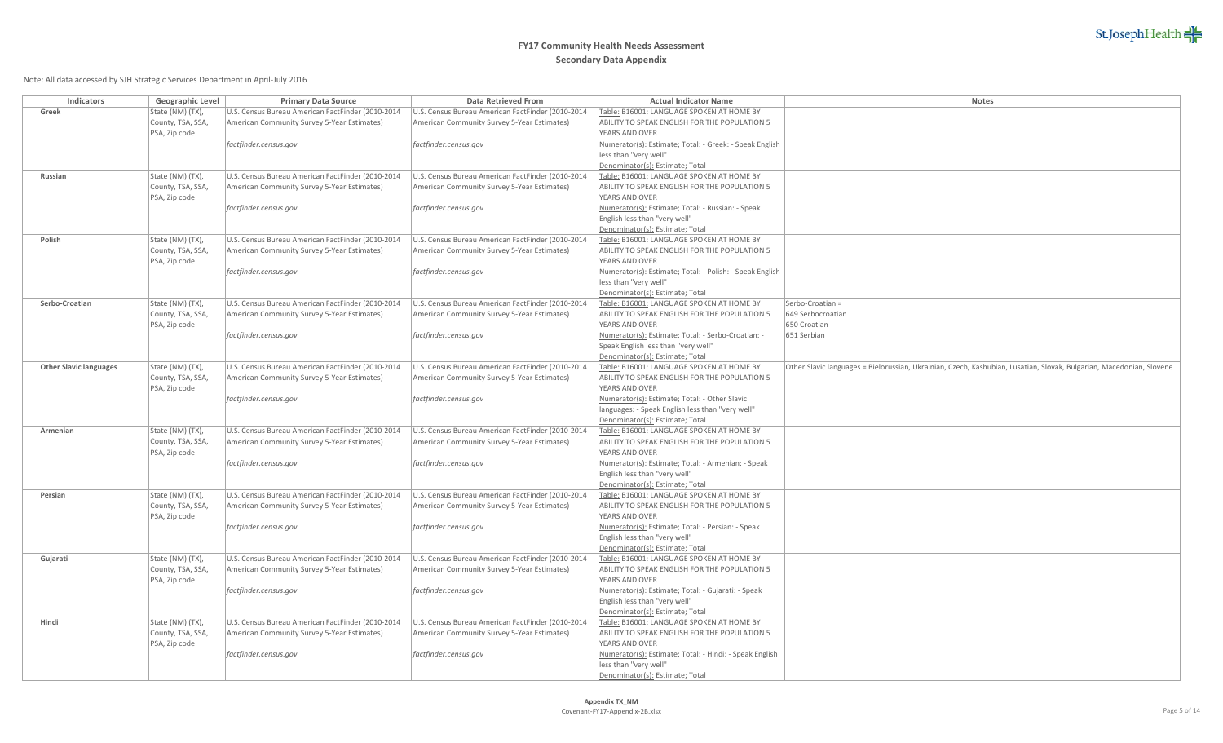

| Indicators                    | Geographic Level                   | <b>Primary Data Source</b>                        | <b>Data Retrieved From</b>                        | <b>Actual Indicator Name</b>                                                               | <b>Notes</b>                                                                                                         |
|-------------------------------|------------------------------------|---------------------------------------------------|---------------------------------------------------|--------------------------------------------------------------------------------------------|----------------------------------------------------------------------------------------------------------------------|
| Greek                         | State (NM) (TX),                   | U.S. Census Bureau American FactFinder (2010-2014 | U.S. Census Bureau American FactFinder (2010-2014 | Table: B16001: LANGUAGE SPOKEN AT HOME BY                                                  |                                                                                                                      |
|                               | County, TSA, SSA,                  | American Community Survey 5-Year Estimates)       | American Community Survey 5-Year Estimates)       | ABILITY TO SPEAK ENGLISH FOR THE POPULATION 5                                              |                                                                                                                      |
|                               | PSA, Zip code                      |                                                   |                                                   | YEARS AND OVER                                                                             |                                                                                                                      |
|                               |                                    | factfinder.census.gov                             | factfinder.census.gov                             | Numerator(s): Estimate; Total: - Greek: - Speak English                                    |                                                                                                                      |
|                               |                                    |                                                   |                                                   | less than "very well"                                                                      |                                                                                                                      |
|                               |                                    |                                                   |                                                   | Denominator(s): Estimate; Total                                                            |                                                                                                                      |
| Russian                       | State (NM) (TX),                   | U.S. Census Bureau American FactFinder (2010-2014 | U.S. Census Bureau American FactFinder (2010-2014 | Table: B16001: LANGUAGE SPOKEN AT HOME BY                                                  |                                                                                                                      |
|                               | County, TSA, SSA,                  | American Community Survey 5-Year Estimates)       | American Community Survey 5-Year Estimates)       | ABILITY TO SPEAK ENGLISH FOR THE POPULATION 5                                              |                                                                                                                      |
|                               | PSA, Zip code                      |                                                   |                                                   | YEARS AND OVER                                                                             |                                                                                                                      |
|                               |                                    | factfinder.census.gov                             | factfinder.census.gov                             | Numerator(s): Estimate; Total: - Russian: - Speak                                          |                                                                                                                      |
|                               |                                    |                                                   |                                                   | English less than "very well"                                                              |                                                                                                                      |
|                               |                                    |                                                   |                                                   | Denominator(s): Estimate; Total                                                            |                                                                                                                      |
| Polish                        | State (NM) (TX),                   | U.S. Census Bureau American FactFinder (2010-2014 | U.S. Census Bureau American FactFinder (2010-2014 | Table: B16001: LANGUAGE SPOKEN AT HOME BY                                                  |                                                                                                                      |
|                               | County, TSA, SSA,                  | American Community Survey 5-Year Estimates)       | American Community Survey 5-Year Estimates)       | ABILITY TO SPEAK ENGLISH FOR THE POPULATION 5                                              |                                                                                                                      |
|                               | PSA, Zip code                      |                                                   |                                                   | YEARS AND OVER                                                                             |                                                                                                                      |
|                               |                                    | factfinder.census.gov                             | factfinder.census.gov                             | Numerator(s): Estimate; Total: - Polish: - Speak English                                   |                                                                                                                      |
|                               |                                    |                                                   |                                                   | less than "very well"                                                                      |                                                                                                                      |
|                               |                                    |                                                   |                                                   | Denominator(s): Estimate; Total                                                            |                                                                                                                      |
| Serbo-Croatian                | State (NM) (TX),                   | U.S. Census Bureau American FactFinder (2010-2014 | U.S. Census Bureau American FactFinder (2010-2014 | Table: B16001: LANGUAGE SPOKEN AT HOME BY                                                  | Serbo-Croatian =                                                                                                     |
|                               | County, TSA, SSA,                  | American Community Survey 5-Year Estimates)       | American Community Survey 5-Year Estimates)       | ABILITY TO SPEAK ENGLISH FOR THE POPULATION 5                                              | 649 Serbocroatian                                                                                                    |
|                               | PSA, Zip code                      |                                                   |                                                   | YEARS AND OVER                                                                             | 650 Croatian                                                                                                         |
|                               |                                    | factfinder.census.gov                             | factfinder.census.gov                             | Numerator(s): Estimate; Total: - Serbo-Croatian: -                                         | 651 Serbian                                                                                                          |
|                               |                                    |                                                   |                                                   | Speak English less than "very well"                                                        |                                                                                                                      |
|                               |                                    |                                                   |                                                   | Denominator(s): Estimate; Total                                                            |                                                                                                                      |
| <b>Other Slavic languages</b> | State (NM) (TX),                   | U.S. Census Bureau American FactFinder (2010-2014 | U.S. Census Bureau American FactFinder (2010-2014 | Table: B16001: LANGUAGE SPOKEN AT HOME BY<br>ABILITY TO SPEAK ENGLISH FOR THE POPULATION 5 | Other Slavic languages = Bielorussian, Ukrainian, Czech, Kashubian, Lusatian, Slovak, Bulgarian, Macedonian, Slovene |
|                               | County, TSA, SSA,<br>PSA, Zip code | American Community Survey 5-Year Estimates)       | American Community Survey 5-Year Estimates)       | YEARS AND OVER                                                                             |                                                                                                                      |
|                               |                                    | factfinder.census.gov                             | factfinder.census.gov                             | Numerator(s): Estimate; Total: - Other Slavic                                              |                                                                                                                      |
|                               |                                    |                                                   |                                                   | languages: - Speak English less than "very well"                                           |                                                                                                                      |
|                               |                                    |                                                   |                                                   | Denominator(s): Estimate; Total                                                            |                                                                                                                      |
| Armenian                      | State (NM) (TX),                   | U.S. Census Bureau American FactFinder (2010-2014 | U.S. Census Bureau American FactFinder (2010-2014 | Table: B16001: LANGUAGE SPOKEN AT HOME BY                                                  |                                                                                                                      |
|                               | County, TSA, SSA,                  | American Community Survey 5-Year Estimates)       | American Community Survey 5-Year Estimates)       | ABILITY TO SPEAK ENGLISH FOR THE POPULATION 5                                              |                                                                                                                      |
|                               | PSA, Zip code                      |                                                   |                                                   | YEARS AND OVER                                                                             |                                                                                                                      |
|                               |                                    | factfinder.census.gov                             | factfinder.census.gov                             | Numerator(s): Estimate; Total: - Armenian: - Speak                                         |                                                                                                                      |
|                               |                                    |                                                   |                                                   | English less than "very well"                                                              |                                                                                                                      |
|                               |                                    |                                                   |                                                   | Denominator(s): Estimate; Total                                                            |                                                                                                                      |
| Persian                       | State (NM) (TX),                   | U.S. Census Bureau American FactFinder (2010-2014 | U.S. Census Bureau American FactFinder (2010-2014 | Table: B16001: LANGUAGE SPOKEN AT HOME BY                                                  |                                                                                                                      |
|                               | County, TSA, SSA,                  | American Community Survey 5-Year Estimates)       | American Community Survey 5-Year Estimates)       | ABILITY TO SPEAK ENGLISH FOR THE POPULATION 5                                              |                                                                                                                      |
|                               | PSA, Zip code                      |                                                   |                                                   | YEARS AND OVER                                                                             |                                                                                                                      |
|                               |                                    | factfinder.census.gov                             | factfinder.census.gov                             | Numerator(s): Estimate; Total: - Persian: - Speak                                          |                                                                                                                      |
|                               |                                    |                                                   |                                                   | English less than "very well"                                                              |                                                                                                                      |
|                               |                                    |                                                   |                                                   | Denominator(s): Estimate; Total                                                            |                                                                                                                      |
| Gujarati                      | State (NM) (TX),                   | U.S. Census Bureau American FactFinder (2010-2014 | U.S. Census Bureau American FactFinder (2010-2014 | Table: B16001: LANGUAGE SPOKEN AT HOME BY                                                  |                                                                                                                      |
|                               | County, TSA, SSA,                  | American Community Survey 5-Year Estimates)       | American Community Survey 5-Year Estimates)       | ABILITY TO SPEAK ENGLISH FOR THE POPULATION 5                                              |                                                                                                                      |
|                               | PSA, Zip code                      |                                                   |                                                   | YEARS AND OVER                                                                             |                                                                                                                      |
|                               |                                    | factfinder.census.gov                             | factfinder.census.gov                             | Numerator(s): Estimate; Total: - Gujarati: - Speak                                         |                                                                                                                      |
|                               |                                    |                                                   |                                                   | English less than "very well"                                                              |                                                                                                                      |
|                               |                                    |                                                   |                                                   | Denominator(s): Estimate; Total                                                            |                                                                                                                      |
| Hindi                         | State (NM) (TX),                   | U.S. Census Bureau American FactFinder (2010-2014 | U.S. Census Bureau American FactFinder (2010-2014 | Table: B16001: LANGUAGE SPOKEN AT HOME BY                                                  |                                                                                                                      |
|                               | County, TSA, SSA,<br>PSA, Zip code | American Community Survey 5-Year Estimates)       | American Community Survey 5-Year Estimates)       | ABILITY TO SPEAK ENGLISH FOR THE POPULATION 5<br>YEARS AND OVER                            |                                                                                                                      |
|                               |                                    |                                                   |                                                   | Numerator(s): Estimate; Total: - Hindi: - Speak English                                    |                                                                                                                      |
|                               |                                    | factfinder.census.gov                             | factfinder.census.gov                             | less than "very well"                                                                      |                                                                                                                      |
|                               |                                    |                                                   |                                                   | Denominator(s): Estimate; Total                                                            |                                                                                                                      |
|                               |                                    |                                                   |                                                   |                                                                                            |                                                                                                                      |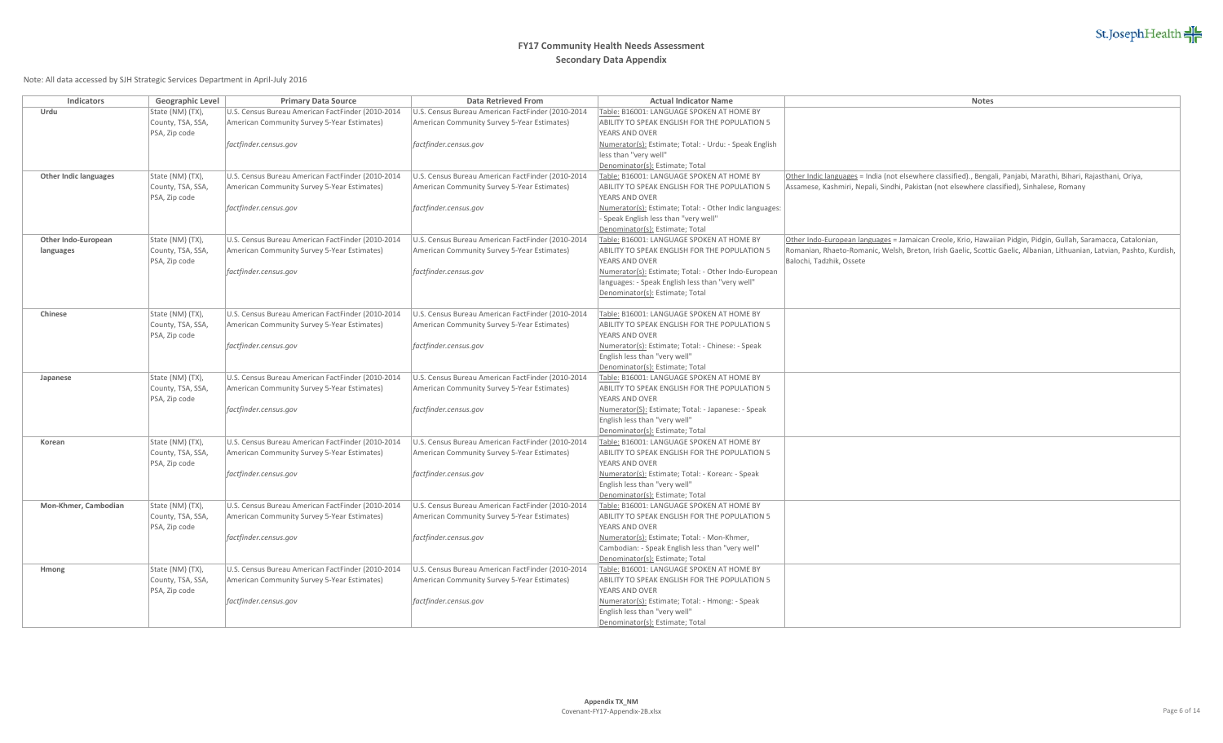

| Indicators                   | Geographic Level  | <b>Primary Data Source</b>                        | <b>Data Retrieved From</b>                        | <b>Actual Indicator Name</b>                                           | <b>Notes</b>                                                                                                           |
|------------------------------|-------------------|---------------------------------------------------|---------------------------------------------------|------------------------------------------------------------------------|------------------------------------------------------------------------------------------------------------------------|
| Urdu                         | State (NM) (TX),  | U.S. Census Bureau American FactFinder (2010-2014 | U.S. Census Bureau American FactFinder (2010-2014 | Table: B16001: LANGUAGE SPOKEN AT HOME BY                              |                                                                                                                        |
|                              | County, TSA, SSA  | American Community Survey 5-Year Estimates)       | American Community Survey 5-Year Estimates)       | ABILITY TO SPEAK ENGLISH FOR THE POPULATION 5                          |                                                                                                                        |
|                              | PSA, Zip code     |                                                   |                                                   | <b>YEARS AND OVER</b>                                                  |                                                                                                                        |
|                              |                   | factfinder.census.gov                             | factfinder.census.gov                             | Numerator(s): Estimate; Total: - Urdu: - Speak English                 |                                                                                                                        |
|                              |                   |                                                   |                                                   | less than "very well'                                                  |                                                                                                                        |
|                              |                   |                                                   |                                                   | Denominator(s): Estimate; Total                                        |                                                                                                                        |
| <b>Other Indic languages</b> | State (NM) (TX),  | U.S. Census Bureau American FactFinder (2010-2014 | U.S. Census Bureau American FactFinder (2010-2014 | Table: B16001: LANGUAGE SPOKEN AT HOME BY                              | Other Indic languages = India (not elsewhere classified)., Bengali, Panjabi, Marathi, Bihari, Rajasthani, Oriya,       |
|                              | County, TSA, SSA, | American Community Survey 5-Year Estimates)       | American Community Survey 5-Year Estimates)       | ABILITY TO SPEAK ENGLISH FOR THE POPULATION 5                          | Assamese, Kashmiri, Nepali, Sindhi, Pakistan (not elsewhere classified), Sinhalese, Romany                             |
|                              | PSA, Zip code     |                                                   |                                                   | <b>YEARS AND OVER</b>                                                  |                                                                                                                        |
|                              |                   | factfinder.census.gov                             | factfinder.census.gov                             | Numerator(s): Estimate; Total: - Other Indic languages:                |                                                                                                                        |
|                              |                   |                                                   |                                                   | Speak English less than "very well"                                    |                                                                                                                        |
|                              |                   |                                                   |                                                   | Denominator(s): Estimate; Total                                        |                                                                                                                        |
| Other Indo-European          | State (NM) (TX),  | U.S. Census Bureau American FactFinder (2010-2014 | U.S. Census Bureau American FactFinder (2010-2014 | Table: B16001: LANGUAGE SPOKEN AT HOME BY                              | Other Indo-European languages = Jamaican Creole, Krio, Hawaiian Pidgin, Pidgin, Gullah, Saramacca, Catalonian,         |
| languages                    | County, TSA, SSA, | American Community Survey 5-Year Estimates)       | American Community Survey 5-Year Estimates)       | ABILITY TO SPEAK ENGLISH FOR THE POPULATION 5                          | Romanian, Rhaeto-Romanic, Welsh, Breton, Irish Gaelic, Scottic Gaelic, Albanian, Lithuanian, Latvian, Pashto, Kurdish, |
|                              | PSA, Zip code     |                                                   |                                                   | <b>YEARS AND OVER</b>                                                  | Balochi, Tadzhik, Ossete                                                                                               |
|                              |                   | factfinder.census.gov                             | factfinder.census.gov                             | Numerator(s): Estimate; Total: - Other Indo-European                   |                                                                                                                        |
|                              |                   |                                                   |                                                   | languages: - Speak English less than "very well"                       |                                                                                                                        |
|                              |                   |                                                   |                                                   | Denominator(s): Estimate; Total                                        |                                                                                                                        |
| Chinese                      | State (NM) (TX),  | U.S. Census Bureau American FactFinder (2010-2014 | U.S. Census Bureau American FactFinder (2010-2014 | Table: B16001: LANGUAGE SPOKEN AT HOME BY                              |                                                                                                                        |
|                              | County, TSA, SSA  | American Community Survey 5-Year Estimates)       | American Community Survey 5-Year Estimates)       | ABILITY TO SPEAK ENGLISH FOR THE POPULATION 5                          |                                                                                                                        |
|                              | PSA, Zip code     |                                                   |                                                   | YEARS AND OVER                                                         |                                                                                                                        |
|                              |                   | factfinder.census.gov                             | factfinder.census.gov                             | Numerator(s): Estimate; Total: - Chinese: - Speak                      |                                                                                                                        |
|                              |                   |                                                   |                                                   | English less than "very well"                                          |                                                                                                                        |
|                              |                   |                                                   |                                                   | Denominator(s): Estimate; Total                                        |                                                                                                                        |
| Japanese                     | State (NM) (TX),  | U.S. Census Bureau American FactFinder (2010-2014 | U.S. Census Bureau American FactFinder (2010-2014 | Table: B16001: LANGUAGE SPOKEN AT HOME BY                              |                                                                                                                        |
|                              | County, TSA, SSA  | American Community Survey 5-Year Estimates)       | American Community Survey 5-Year Estimates)       | ABILITY TO SPEAK ENGLISH FOR THE POPULATION 5                          |                                                                                                                        |
|                              | PSA, Zip code     |                                                   |                                                   | <b>YEARS AND OVER</b>                                                  |                                                                                                                        |
|                              |                   | factfinder.census.gov                             | factfinder.census.gov                             | Numerator(S): Estimate; Total: - Japanese: - Speak                     |                                                                                                                        |
|                              |                   |                                                   |                                                   | English less than "very well"                                          |                                                                                                                        |
|                              |                   |                                                   |                                                   | Denominator(s): Estimate; Total                                        |                                                                                                                        |
| Korean                       | State (NM) (TX),  | U.S. Census Bureau American FactFinder (2010-2014 | U.S. Census Bureau American FactFinder (2010-2014 | Table: B16001: LANGUAGE SPOKEN AT HOME BY                              |                                                                                                                        |
|                              | County, TSA, SSA  | American Community Survey 5-Year Estimates)       | American Community Survey 5-Year Estimates)       | ABILITY TO SPEAK ENGLISH FOR THE POPULATION 5                          |                                                                                                                        |
|                              | PSA, Zip code     |                                                   |                                                   | YEARS AND OVER                                                         |                                                                                                                        |
|                              |                   | factfinder.census.gov                             | factfinder.census.gov                             | Numerator(s): Estimate; Total: - Korean: - Speak                       |                                                                                                                        |
|                              |                   |                                                   |                                                   | English less than "very well"                                          |                                                                                                                        |
|                              |                   |                                                   |                                                   | Denominator(s): Estimate; Total                                        |                                                                                                                        |
| Mon-Khmer, Cambodian         | State (NM) (TX),  | U.S. Census Bureau American FactFinder (2010-2014 | U.S. Census Bureau American FactFinder (2010-2014 | Table: B16001: LANGUAGE SPOKEN AT HOME BY                              |                                                                                                                        |
|                              | County, TSA, SSA, | American Community Survey 5-Year Estimates)       | American Community Survey 5-Year Estimates)       | ABILITY TO SPEAK ENGLISH FOR THE POPULATION 5<br><b>YEARS AND OVER</b> |                                                                                                                        |
|                              | PSA, Zip code     |                                                   |                                                   | Numerator(s): Estimate; Total: - Mon-Khmer,                            |                                                                                                                        |
|                              |                   | factfinder.census.gov                             | factfinder.census.gov                             | Cambodian: - Speak English less than "very well"                       |                                                                                                                        |
|                              |                   |                                                   |                                                   | Denominator(s): Estimate; Total                                        |                                                                                                                        |
| Hmong                        | State (NM) (TX),  | U.S. Census Bureau American FactFinder (2010-2014 | U.S. Census Bureau American FactFinder (2010-2014 | Table: B16001: LANGUAGE SPOKEN AT HOME BY                              |                                                                                                                        |
|                              | County, TSA, SSA, | American Community Survey 5-Year Estimates)       | American Community Survey 5-Year Estimates)       | ABILITY TO SPEAK ENGLISH FOR THE POPULATION 5                          |                                                                                                                        |
|                              | PSA, Zip code     |                                                   |                                                   | YEARS AND OVER                                                         |                                                                                                                        |
|                              |                   | factfinder.census.gov                             | factfinder.census.gov                             | Numerator(s): Estimate; Total: - Hmong: - Speak                        |                                                                                                                        |
|                              |                   |                                                   |                                                   | English less than "very well"                                          |                                                                                                                        |
|                              |                   |                                                   |                                                   | Denominator(s): Estimate; Total                                        |                                                                                                                        |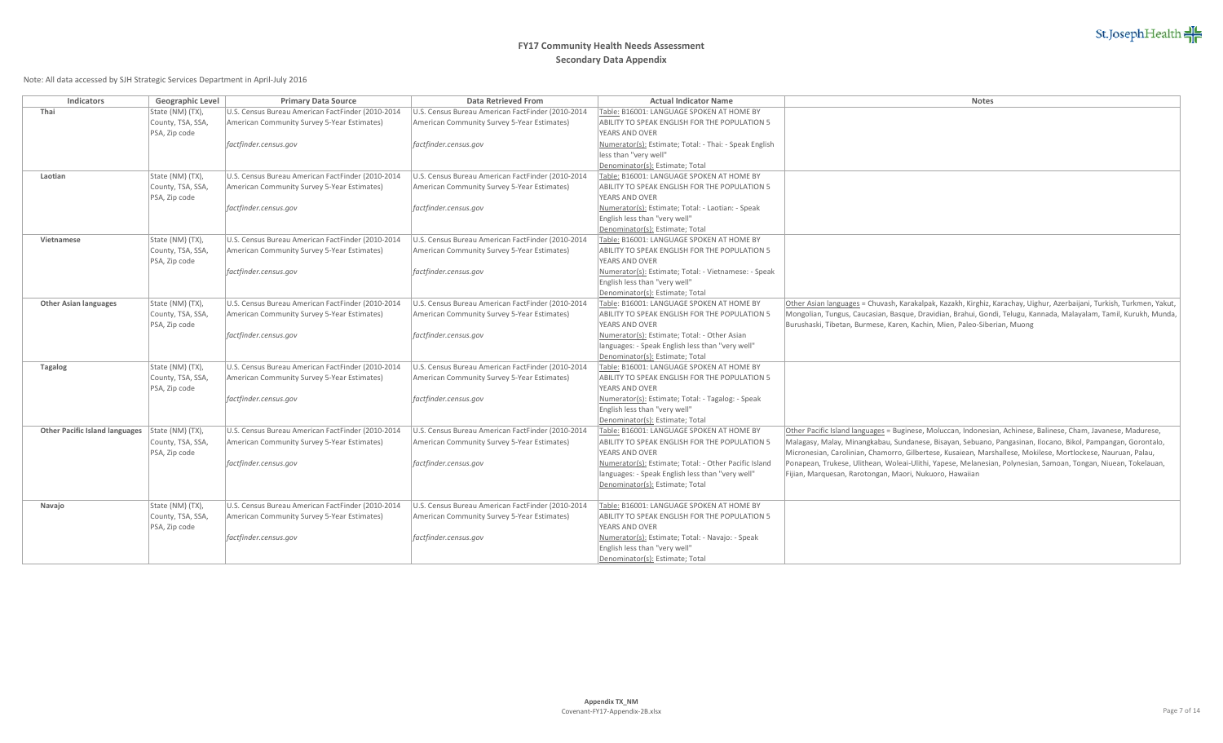

| Indicators                            | Geographic Level                      | <b>Primary Data Source</b>                        | <b>Data Retrieved From</b>                        | <b>Actual Indicator Name</b>                                    | Notes                                                                                                                 |
|---------------------------------------|---------------------------------------|---------------------------------------------------|---------------------------------------------------|-----------------------------------------------------------------|-----------------------------------------------------------------------------------------------------------------------|
| Thai                                  | State (NM) (TX),                      | U.S. Census Bureau American FactFinder (2010-2014 | U.S. Census Bureau American FactFinder (2010-2014 | Table: B16001: LANGUAGE SPOKEN AT HOME BY                       |                                                                                                                       |
|                                       | County, TSA, SSA                      | American Community Survey 5-Year Estimates)       | American Community Survey 5-Year Estimates)       | ABILITY TO SPEAK ENGLISH FOR THE POPULATION 5                   |                                                                                                                       |
|                                       | PSA, Zip code                         |                                                   |                                                   | YEARS AND OVER                                                  |                                                                                                                       |
|                                       |                                       | factfinder.census.gov                             | factfinder.census.gov                             | Numerator(s): Estimate; Total: - Thai: - Speak English          |                                                                                                                       |
|                                       |                                       |                                                   |                                                   | less than "very well"                                           |                                                                                                                       |
|                                       |                                       |                                                   |                                                   | Denominator(s): Estimate; Total                                 |                                                                                                                       |
| Laotian                               | State (NM) (TX),                      | U.S. Census Bureau American FactFinder (2010-2014 | U.S. Census Bureau American FactFinder (2010-2014 | Table: B16001: LANGUAGE SPOKEN AT HOME BY                       |                                                                                                                       |
|                                       | County, TSA, SSA,                     | American Community Survey 5-Year Estimates)       | American Community Survey 5-Year Estimates)       | ABILITY TO SPEAK ENGLISH FOR THE POPULATION 5                   |                                                                                                                       |
|                                       | PSA, Zip code                         |                                                   |                                                   | YEARS AND OVER                                                  |                                                                                                                       |
|                                       |                                       | factfinder.census.gov                             | factfinder.census.gov                             | Numerator(s): Estimate; Total: - Laotian: - Speak               |                                                                                                                       |
|                                       |                                       |                                                   |                                                   | English less than "very well"                                   |                                                                                                                       |
|                                       |                                       |                                                   |                                                   | Denominator(s): Estimate; Total                                 |                                                                                                                       |
| Vietnamese                            | State (NM) (TX),                      | U.S. Census Bureau American FactFinder (2010-2014 | U.S. Census Bureau American FactFinder (2010-2014 | Table: B16001: LANGUAGE SPOKEN AT HOME BY                       |                                                                                                                       |
|                                       | County, TSA, SSA,                     | American Community Survey 5-Year Estimates)       | American Community Survey 5-Year Estimates)       | ABILITY TO SPEAK ENGLISH FOR THE POPULATION 5                   |                                                                                                                       |
|                                       | PSA, Zip code                         |                                                   |                                                   | YEARS AND OVER                                                  |                                                                                                                       |
|                                       |                                       | factfinder.census.gov                             | factfinder.census.gov                             | Numerator(s): Estimate; Total: - Vietnamese: - Speak            |                                                                                                                       |
|                                       |                                       |                                                   |                                                   | English less than "very well"                                   |                                                                                                                       |
|                                       |                                       |                                                   |                                                   | Denominator(s): Estimate; Total                                 |                                                                                                                       |
| <b>Other Asian languages</b>          | State (NM) (TX),<br>County, TSA, SSA, | U.S. Census Bureau American FactFinder (2010-2014 | U.S. Census Bureau American FactFinder (2010-2014 | Table: B16001: LANGUAGE SPOKEN AT HOME BY                       | Other Asian languages = Chuvash, Karakalpak, Kazakh, Kirghiz, Karachay, Uighur, Azerbaijani, Turkish, Turkmen, Yakut, |
|                                       |                                       | American Community Survey 5-Year Estimates)       | American Community Survey 5-Year Estimates)       | ABILITY TO SPEAK ENGLISH FOR THE POPULATION 5<br>YEARS AND OVER | Mongolian, Tungus, Caucasian, Basque, Dravidian, Brahui, Gondi, Telugu, Kannada, Malayalam, Tamil, Kurukh, Munda,     |
|                                       | PSA, Zip code                         | factfinder.census.gov                             | factfinder.census.gov                             | Numerator(s): Estimate; Total: - Other Asian                    | Burushaski, Tibetan, Burmese, Karen, Kachin, Mien, Paleo-Siberian, Muong                                              |
|                                       |                                       |                                                   |                                                   | languages: - Speak English less than "very well"                |                                                                                                                       |
|                                       |                                       |                                                   |                                                   | Denominator(s): Estimate; Total                                 |                                                                                                                       |
| <b>Tagalog</b>                        | State (NM) (TX),                      | U.S. Census Bureau American FactFinder (2010-2014 | U.S. Census Bureau American FactFinder (2010-2014 | Table: B16001: LANGUAGE SPOKEN AT HOME BY                       |                                                                                                                       |
|                                       | County, TSA, SSA                      | American Community Survey 5-Year Estimates)       | American Community Survey 5-Year Estimates)       | ABILITY TO SPEAK ENGLISH FOR THE POPULATION 5                   |                                                                                                                       |
|                                       | PSA, Zip code                         |                                                   |                                                   | YEARS AND OVER                                                  |                                                                                                                       |
|                                       |                                       | factfinder.census.gov                             | factfinder.census.gov                             | Numerator(s): Estimate; Total: - Tagalog: - Speak               |                                                                                                                       |
|                                       |                                       |                                                   |                                                   | English less than "very well"                                   |                                                                                                                       |
|                                       |                                       |                                                   |                                                   | Denominator(s): Estimate; Total                                 |                                                                                                                       |
| <b>Other Pacific Island languages</b> | State (NM) (TX),                      | U.S. Census Bureau American FactFinder (2010-2014 | U.S. Census Bureau American FactFinder (2010-2014 | Table: B16001: LANGUAGE SPOKEN AT HOME BY                       | Other Pacific Island languages = Buginese, Moluccan, Indonesian, Achinese, Balinese, Cham, Javanese, Madurese,        |
|                                       | County, TSA, SSA,                     | American Community Survey 5-Year Estimates)       | American Community Survey 5-Year Estimates)       | ABILITY TO SPEAK ENGLISH FOR THE POPULATION 5                   | Malagasy, Malay, Minangkabau, Sundanese, Bisayan, Sebuano, Pangasinan, Ilocano, Bikol, Pampangan, Gorontalo,          |
|                                       | PSA, Zip code                         |                                                   |                                                   | YEARS AND OVER                                                  | Micronesian, Carolinian, Chamorro, Gilbertese, Kusaiean, Marshallese, Mokilese, Mortlockese, Nauruan, Palau,          |
|                                       |                                       | factfinder.census.gov                             | factfinder.census.gov                             | Numerator(s): Estimate; Total: - Other Pacific Island           | Ponapean, Trukese, Ulithean, Woleai-Ulithi, Yapese, Melanesian, Polynesian, Samoan, Tongan, Niuean, Tokelauan,        |
|                                       |                                       |                                                   |                                                   | languages: - Speak English less than "very well"                | Fijian, Marquesan, Rarotongan, Maori, Nukuoro, Hawaiian                                                               |
|                                       |                                       |                                                   |                                                   | Denominator(s): Estimate; Total                                 |                                                                                                                       |
|                                       |                                       |                                                   |                                                   |                                                                 |                                                                                                                       |
| Navajo                                | State (NM) (TX),                      | U.S. Census Bureau American FactFinder (2010-2014 | U.S. Census Bureau American FactFinder (2010-2014 | Table: B16001: LANGUAGE SPOKEN AT HOME BY                       |                                                                                                                       |
|                                       | County, TSA, SSA                      | American Community Survey 5-Year Estimates)       | American Community Survey 5-Year Estimates)       | ABILITY TO SPEAK ENGLISH FOR THE POPULATION 5                   |                                                                                                                       |
|                                       | PSA, Zip code                         |                                                   |                                                   | YEARS AND OVER                                                  |                                                                                                                       |
|                                       |                                       | factfinder.census.gov                             | factfinder.census.gov                             | Numerator(s): Estimate; Total: - Navajo: - Speak                |                                                                                                                       |
|                                       |                                       |                                                   |                                                   | English less than "very well"                                   |                                                                                                                       |
|                                       |                                       |                                                   |                                                   | Denominator(s): Estimate; Total                                 |                                                                                                                       |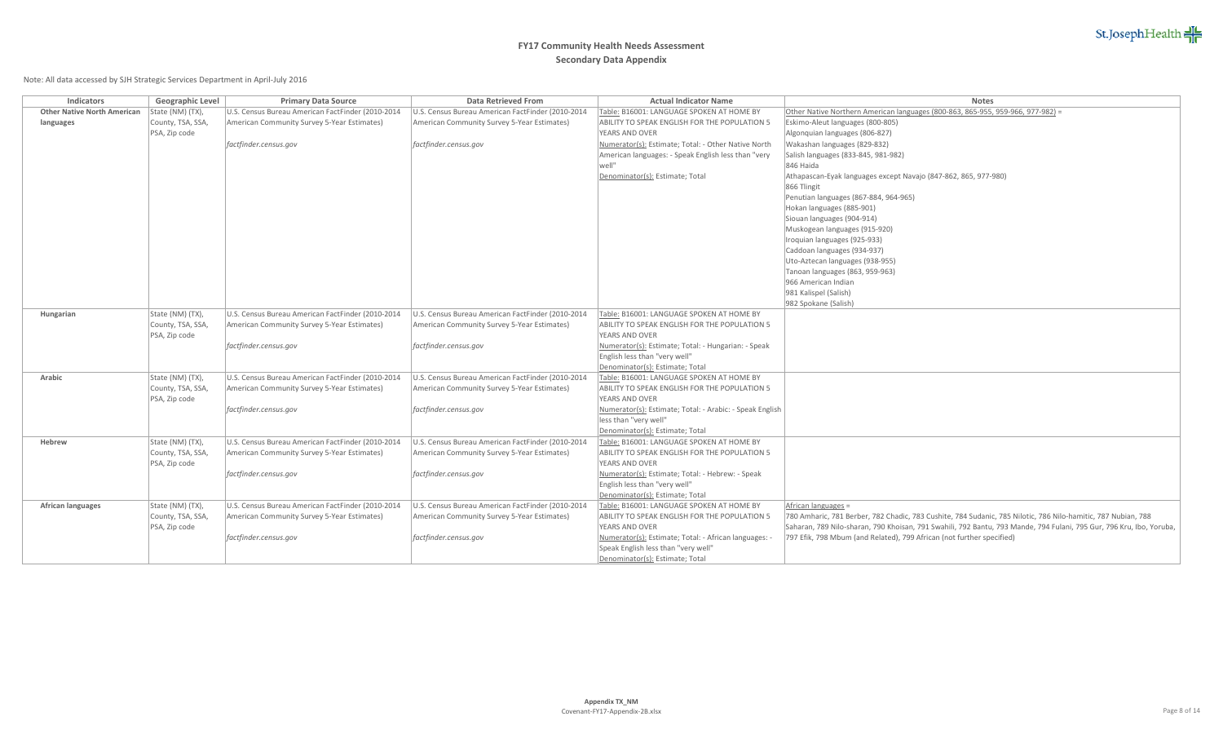

| Indicators                         | Geographic Level  | <b>Primary Data Source</b>                        | <b>Data Retrieved From</b>                        | <b>Actual Indicator Name</b>                                    | <b>Notes</b>                                                                                                         |
|------------------------------------|-------------------|---------------------------------------------------|---------------------------------------------------|-----------------------------------------------------------------|----------------------------------------------------------------------------------------------------------------------|
| <b>Other Native North American</b> | State (NM) (TX),  | U.S. Census Bureau American FactFinder (2010-2014 | U.S. Census Bureau American FactFinder (2010-2014 | Table: B16001: LANGUAGE SPOKEN AT HOME BY                       | Other Native Northern American languages (800-863, 865-955, 959-966, 977-982) =                                      |
| languages                          | County, TSA, SSA  | American Community Survey 5-Year Estimates)       | American Community Survey 5-Year Estimates)       | ABILITY TO SPEAK ENGLISH FOR THE POPULATION 5                   | Eskimo-Aleut languages (800-805)                                                                                     |
|                                    | PSA, Zip code     |                                                   |                                                   | YEARS AND OVER                                                  | Algonquian languages (806-827)                                                                                       |
|                                    |                   | factfinder.census.gov                             | factfinder.census.gov                             | Numerator(s): Estimate; Total: - Other Native North             | Wakashan languages (829-832)                                                                                         |
|                                    |                   |                                                   |                                                   | American languages: - Speak English less than "very             | Salish languages (833-845, 981-982)                                                                                  |
|                                    |                   |                                                   |                                                   | well"                                                           | 846 Haida                                                                                                            |
|                                    |                   |                                                   |                                                   | Denominator(s): Estimate; Total                                 | Athapascan-Eyak languages except Navajo (847-862, 865, 977-980)                                                      |
|                                    |                   |                                                   |                                                   |                                                                 | 866 Tlingit                                                                                                          |
|                                    |                   |                                                   |                                                   |                                                                 | Penutian languages (867-884, 964-965)                                                                                |
|                                    |                   |                                                   |                                                   |                                                                 | Hokan languages (885-901)                                                                                            |
|                                    |                   |                                                   |                                                   |                                                                 | Siouan languages (904-914)                                                                                           |
|                                    |                   |                                                   |                                                   |                                                                 | Muskogean languages (915-920)                                                                                        |
|                                    |                   |                                                   |                                                   |                                                                 | Iroquian languages (925-933)                                                                                         |
|                                    |                   |                                                   |                                                   |                                                                 | Caddoan languages (934-937)                                                                                          |
|                                    |                   |                                                   |                                                   |                                                                 | Uto-Aztecan languages (938-955)                                                                                      |
|                                    |                   |                                                   |                                                   |                                                                 | Tanoan languages (863, 959-963)                                                                                      |
|                                    |                   |                                                   |                                                   |                                                                 | 966 American Indian                                                                                                  |
|                                    |                   |                                                   |                                                   |                                                                 | 981 Kalispel (Salish)                                                                                                |
|                                    |                   |                                                   |                                                   |                                                                 | 982 Spokane (Salish)                                                                                                 |
| Hungarian                          | State (NM) (TX),  | U.S. Census Bureau American FactFinder (2010-2014 | U.S. Census Bureau American FactFinder (2010-2014 | Table: B16001: LANGUAGE SPOKEN AT HOME BY                       |                                                                                                                      |
|                                    | County, TSA, SSA  | American Community Survey 5-Year Estimates)       | American Community Survey 5-Year Estimates)       | ABILITY TO SPEAK ENGLISH FOR THE POPULATION 5                   |                                                                                                                      |
|                                    | PSA, Zip code     |                                                   |                                                   | YEARS AND OVER                                                  |                                                                                                                      |
|                                    |                   | factfinder.census.gov                             | factfinder.census.gov                             | Numerator(s): Estimate; Total: - Hungarian: - Speak             |                                                                                                                      |
|                                    |                   |                                                   |                                                   | English less than "very well"                                   |                                                                                                                      |
|                                    |                   |                                                   |                                                   | Denominator(s): Estimate; Total                                 |                                                                                                                      |
| Arabic                             | State (NM) (TX),  | U.S. Census Bureau American FactFinder (2010-2014 | U.S. Census Bureau American FactFinder (2010-2014 | Table: B16001: LANGUAGE SPOKEN AT HOME BY                       |                                                                                                                      |
|                                    | County, TSA, SSA, | American Community Survey 5-Year Estimates)       | American Community Survey 5-Year Estimates)       | ABILITY TO SPEAK ENGLISH FOR THE POPULATION 5<br>YEARS AND OVER |                                                                                                                      |
|                                    | PSA, Zip code     |                                                   |                                                   |                                                                 |                                                                                                                      |
|                                    |                   | factfinder.census.gov                             | factfinder.census.gov                             | Numerator(s): Estimate; Total: - Arabic: - Speak English        |                                                                                                                      |
|                                    |                   |                                                   |                                                   | less than "very well"<br>Denominator(s): Estimate; Total        |                                                                                                                      |
| Hebrew                             | State (NM) (TX),  | U.S. Census Bureau American FactFinder (2010-2014 | U.S. Census Bureau American FactFinder (2010-2014 | Table: B16001: LANGUAGE SPOKEN AT HOME BY                       |                                                                                                                      |
|                                    | County, TSA, SSA  | American Community Survey 5-Year Estimates)       | American Community Survey 5-Year Estimates)       | ABILITY TO SPEAK ENGLISH FOR THE POPULATION 5                   |                                                                                                                      |
|                                    | PSA, Zip code     |                                                   |                                                   | YEARS AND OVER                                                  |                                                                                                                      |
|                                    |                   | factfinder.census.gov                             | factfinder.census.gov                             | Numerator(s): Estimate; Total: - Hebrew: - Speak                |                                                                                                                      |
|                                    |                   |                                                   |                                                   | English less than "very well"                                   |                                                                                                                      |
|                                    |                   |                                                   |                                                   | Denominator(s): Estimate; Total                                 |                                                                                                                      |
| African languages                  | State (NM) (TX),  | U.S. Census Bureau American FactFinder (2010-2014 | U.S. Census Bureau American FactFinder (2010-2014 | Table: B16001: LANGUAGE SPOKEN AT HOME BY                       | African languages =                                                                                                  |
|                                    | County, TSA, SSA  | American Community Survey 5-Year Estimates)       | American Community Survey 5-Year Estimates)       | ABILITY TO SPEAK ENGLISH FOR THE POPULATION 5                   | 780 Amharic, 781 Berber, 782 Chadic, 783 Cushite, 784 Sudanic, 785 Nilotic, 786 Nilo-hamitic, 787 Nubian, 788        |
|                                    | PSA, Zip code     |                                                   |                                                   | YEARS AND OVER                                                  | Saharan, 789 Nilo-sharan, 790 Khoisan, 791 Swahili, 792 Bantu, 793 Mande, 794 Fulani, 795 Gur, 796 Kru, Ibo, Yoruba, |
|                                    |                   | factfinder.census.gov                             | factfinder.census.gov                             | Numerator(s): Estimate; Total: - African languages: -           | 797 Efik, 798 Mbum (and Related), 799 African (not further specified)                                                |
|                                    |                   |                                                   |                                                   | Speak English less than "very well"                             |                                                                                                                      |
|                                    |                   |                                                   |                                                   | Denominator(s): Estimate; Total                                 |                                                                                                                      |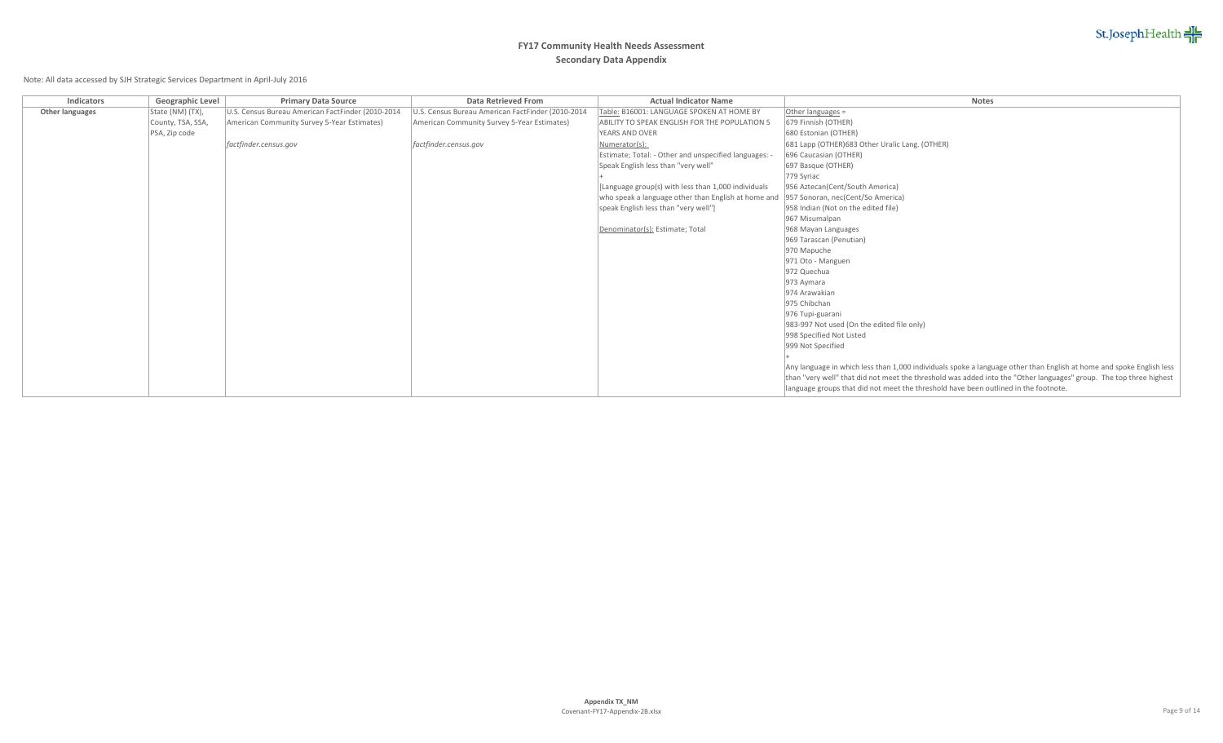St.JosephHealth

# **FY17 Community Health Needs Assessment Secondary Data Appendix**

| Indicators      | Geographic Level  | <b>Primary Data Source</b>                        | <b>Data Retrieved From</b>                        | <b>Actual Indicator Name</b>                                                          | <b>Notes</b>                                                                                                         |
|-----------------|-------------------|---------------------------------------------------|---------------------------------------------------|---------------------------------------------------------------------------------------|----------------------------------------------------------------------------------------------------------------------|
| Other languages | State (NM) (TX),  | U.S. Census Bureau American FactFinder (2010-2014 | U.S. Census Bureau American FactFinder (2010-2014 | Table: B16001: LANGUAGE SPOKEN AT HOME BY                                             | Other languages =                                                                                                    |
|                 | County, TSA, SSA, | American Community Survey 5-Year Estimates)       | American Community Survey 5-Year Estimates)       | ABILITY TO SPEAK ENGLISH FOR THE POPULATION 5                                         | 679 Finnish (OTHER)                                                                                                  |
|                 | PSA, Zip code     |                                                   |                                                   | <b>YEARS AND OVER</b>                                                                 | 680 Estonian (OTHER)                                                                                                 |
|                 |                   | factfinder.census.gov                             | factfinder.census.gov                             | Numerator(s):                                                                         | 681 Lapp (OTHER) 683 Other Uralic Lang. (OTHER)                                                                      |
|                 |                   |                                                   |                                                   | Estimate; Total: - Other and unspecified languages:                                   | 696 Caucasian (OTHER)                                                                                                |
|                 |                   |                                                   |                                                   | Speak English less than "very well"                                                   | 697 Basque (OTHER)                                                                                                   |
|                 |                   |                                                   |                                                   |                                                                                       | 779 Syriac                                                                                                           |
|                 |                   |                                                   |                                                   | [Language group(s) with less than 1,000 individuals                                   | 956 Aztecan(Cent/South America)                                                                                      |
|                 |                   |                                                   |                                                   | who speak a language other than English at home and 957 Sonoran, nec(Cent/So America) |                                                                                                                      |
|                 |                   |                                                   |                                                   | speak English less than "very well"]                                                  | 958 Indian (Not on the edited file)                                                                                  |
|                 |                   |                                                   |                                                   |                                                                                       | 967 Misumalpan                                                                                                       |
|                 |                   |                                                   |                                                   | Denominator(s): Estimate; Total                                                       | 968 Mayan Languages                                                                                                  |
|                 |                   |                                                   |                                                   |                                                                                       | 969 Tarascan (Penutian)                                                                                              |
|                 |                   |                                                   |                                                   |                                                                                       | 970 Mapuche                                                                                                          |
|                 |                   |                                                   |                                                   |                                                                                       | 971 Oto - Manguen                                                                                                    |
|                 |                   |                                                   |                                                   |                                                                                       | 972 Quechua                                                                                                          |
|                 |                   |                                                   |                                                   |                                                                                       | 973 Aymara                                                                                                           |
|                 |                   |                                                   |                                                   |                                                                                       | 974 Arawakian                                                                                                        |
|                 |                   |                                                   |                                                   |                                                                                       | 975 Chibchan                                                                                                         |
|                 |                   |                                                   |                                                   |                                                                                       | 976 Tupi-guarani                                                                                                     |
|                 |                   |                                                   |                                                   |                                                                                       | 983-997 Not used (On the edited file only)                                                                           |
|                 |                   |                                                   |                                                   |                                                                                       | 998 Specified Not Listed                                                                                             |
|                 |                   |                                                   |                                                   |                                                                                       | 999 Not Specified                                                                                                    |
|                 |                   |                                                   |                                                   |                                                                                       |                                                                                                                      |
|                 |                   |                                                   |                                                   |                                                                                       | Any language in which less than 1,000 individuals spoke a language other than English at home and spoke English less |
|                 |                   |                                                   |                                                   |                                                                                       | than "very well" that did not meet the threshold was added into the "Other languages" group. The top three highest   |
|                 |                   |                                                   |                                                   |                                                                                       | language groups that did not meet the threshold have been outlined in the footnote.                                  |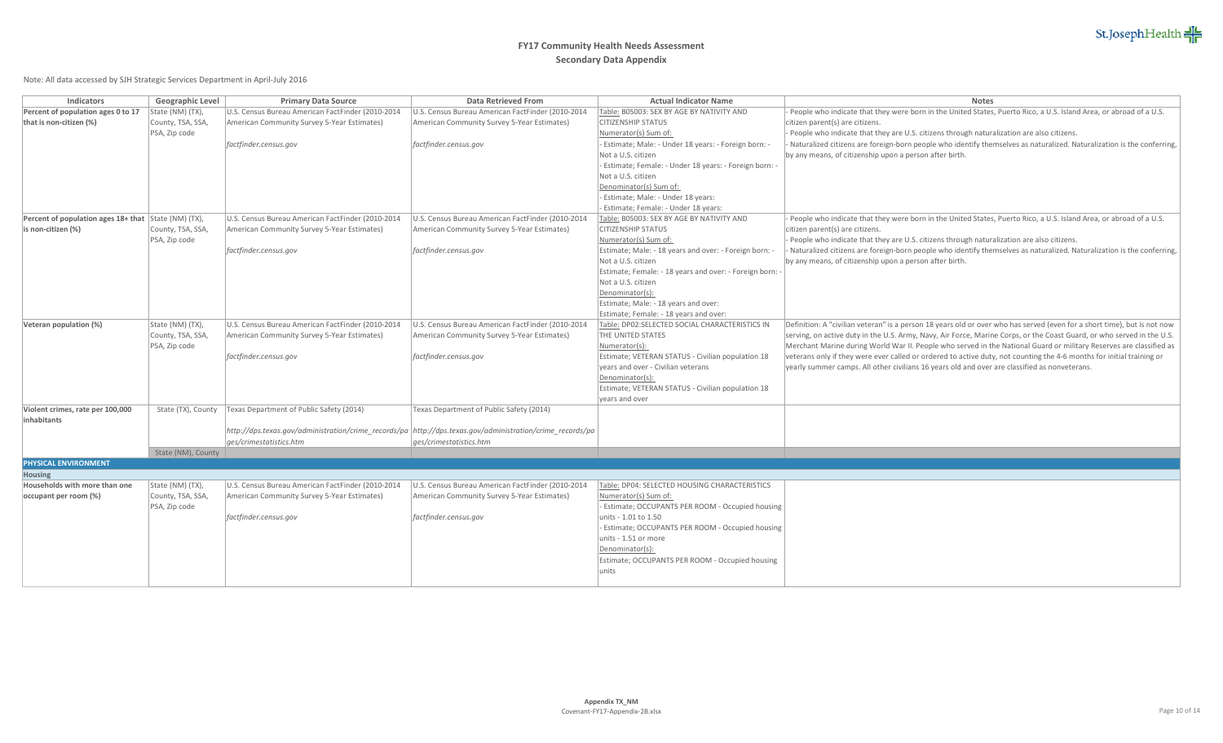

| Indicators                                           | Geographic Level   | <b>Primary Data Source</b>                        | <b>Data Retrieved From</b>                                                                                 | <b>Actual Indicator Name</b>                                        | <b>Notes</b>                                                                                                             |
|------------------------------------------------------|--------------------|---------------------------------------------------|------------------------------------------------------------------------------------------------------------|---------------------------------------------------------------------|--------------------------------------------------------------------------------------------------------------------------|
| Percent of population ages 0 to 17                   | State (NM) (TX),   | U.S. Census Bureau American FactFinder (2010-2014 | U.S. Census Bureau American FactFinder (2010-2014                                                          | Table: B05003: SEX BY AGE BY NATIVITY AND                           | People who indicate that they were born in the United States, Puerto Rico, a U.S. Island Area, or abroad of a U.S.       |
| that is non-citizen (%)                              | County, TSA, SSA,  | American Community Survey 5-Year Estimates)       | American Community Survey 5-Year Estimates)                                                                | <b>CITIZENSHIP STATUS</b>                                           | citizen parent(s) are citizens.                                                                                          |
|                                                      | PSA, Zip code      |                                                   |                                                                                                            | Numerator(s) Sum of:                                                | People who indicate that they are U.S. citizens through naturalization are also citizens.                                |
|                                                      |                    | factfinder.census.gov                             | factfinder.census.gov                                                                                      | Estimate; Male: - Under 18 years: - Foreign born:                   | Naturalized citizens are foreign-born people who identify themselves as naturalized. Naturalization is the conferring,   |
|                                                      |                    |                                                   |                                                                                                            | Not a U.S. citizen                                                  | by any means, of citizenship upon a person after birth.                                                                  |
|                                                      |                    |                                                   |                                                                                                            | - Estimate; Female: - Under 18 years: - Foreign born:               |                                                                                                                          |
|                                                      |                    |                                                   |                                                                                                            | Not a U.S. citizen                                                  |                                                                                                                          |
|                                                      |                    |                                                   |                                                                                                            | Denominator(s) Sum of:                                              |                                                                                                                          |
|                                                      |                    |                                                   |                                                                                                            | - Estimate; Male: - Under 18 years:                                 |                                                                                                                          |
|                                                      |                    |                                                   |                                                                                                            | Estimate; Female: - Under 18 years:                                 |                                                                                                                          |
| Percent of population ages 18+ that State (NM) (TX), |                    | U.S. Census Bureau American FactFinder (2010-2014 | U.S. Census Bureau American FactFinder (2010-2014                                                          | Table: B05003: SEX BY AGE BY NATIVITY AND                           | People who indicate that they were born in the United States, Puerto Rico, a U.S. Island Area, or abroad of a U.S.       |
| is non-citizen (%)                                   | County, TSA, SSA,  | American Community Survey 5-Year Estimates)       | American Community Survey 5-Year Estimates)                                                                | <b>CITIZENSHIP STATUS</b>                                           | citizen parent(s) are citizens.                                                                                          |
|                                                      | PSA, Zip code      |                                                   |                                                                                                            | Numerator(s) Sum of:                                                | People who indicate that they are U.S. citizens through naturalization are also citizens.                                |
|                                                      |                    | factfinder.census.gov                             | factfinder.census.gov                                                                                      | Estimate; Male: - 18 years and over: - Foreign born:                | Naturalized citizens are foreign-born people who identify themselves as naturalized. Naturalization is the conferring,   |
|                                                      |                    |                                                   |                                                                                                            | Not a U.S. citizen                                                  | by any means, of citizenship upon a person after birth.                                                                  |
|                                                      |                    |                                                   |                                                                                                            | Estimate; Female: - 18 years and over: - Foreign born:              |                                                                                                                          |
|                                                      |                    |                                                   |                                                                                                            | Not a U.S. citizen                                                  |                                                                                                                          |
|                                                      |                    |                                                   |                                                                                                            | Denominator(s):                                                     |                                                                                                                          |
|                                                      |                    |                                                   |                                                                                                            | Estimate; Male: - 18 years and over:                                |                                                                                                                          |
|                                                      |                    |                                                   |                                                                                                            | Estimate; Female: - 18 years and over:                              |                                                                                                                          |
| Veteran population (%)                               | State (NM) (TX),   | U.S. Census Bureau American FactFinder (2010-2014 | U.S. Census Bureau American FactFinder (2010-2014                                                          | Table: DP02:SELECTED SOCIAL CHARACTERISTICS IN                      | Definition: A "civilian veteran" is a person 18 years old or over who has served (even for a short time), but is not now |
|                                                      | County, TSA, SSA,  | American Community Survey 5-Year Estimates)       | American Community Survey 5-Year Estimates)                                                                | THE UNITED STATES                                                   | serving, on active duty in the U.S. Army, Navy, Air Force, Marine Corps, or the Coast Guard, or who served in the U.S.   |
|                                                      | PSA, Zip code      |                                                   |                                                                                                            | Numerator(s):                                                       | Merchant Marine during World War II. People who served in the National Guard or military Reserves are classified as      |
|                                                      |                    | factfinder.census.gov                             | factfinder.census.gov                                                                                      | Estimate; VETERAN STATUS - Civilian population 18                   | veterans only if they were ever called or ordered to active duty, not counting the 4-6 months for initial training or    |
|                                                      |                    |                                                   |                                                                                                            | vears and over - Civilian veterans                                  | yearly summer camps. All other civilians 16 years old and over are classified as nonveterans.                            |
|                                                      |                    |                                                   |                                                                                                            | Denominator(s):                                                     |                                                                                                                          |
|                                                      |                    |                                                   |                                                                                                            | Estimate; VETERAN STATUS - Civilian population 18<br>years and over |                                                                                                                          |
| Violent crimes, rate per 100,000                     | State (TX), County | Texas Department of Public Safety (2014)          | Texas Department of Public Safety (2014)                                                                   |                                                                     |                                                                                                                          |
| inhabitants                                          |                    |                                                   |                                                                                                            |                                                                     |                                                                                                                          |
|                                                      |                    |                                                   | http://dps.texas.gov/administration/crime_records/pa \http://dps.texas.gov/administration/crime_records/pa |                                                                     |                                                                                                                          |
|                                                      |                    | ges/crimestatistics.htm                           | ges/crimestatistics.htm                                                                                    |                                                                     |                                                                                                                          |
|                                                      | State (NM), County |                                                   |                                                                                                            |                                                                     |                                                                                                                          |
| <b>PHYSICAL ENVIRONMENT</b>                          |                    |                                                   |                                                                                                            |                                                                     |                                                                                                                          |
| Housing                                              |                    |                                                   |                                                                                                            |                                                                     |                                                                                                                          |
| Households with more than one                        | State (NM) (TX),   | U.S. Census Bureau American FactFinder (2010-2014 | U.S. Census Bureau American FactFinder (2010-2014                                                          | Table: DP04: SELECTED HOUSING CHARACTERISTICS                       |                                                                                                                          |
| occupant per room (%)                                | County, TSA, SSA,  | American Community Survey 5-Year Estimates)       | American Community Survey 5-Year Estimates)                                                                | Numerator(s) Sum of:                                                |                                                                                                                          |
|                                                      | PSA, Zip code      |                                                   |                                                                                                            | Estimate; OCCUPANTS PER ROOM - Occupied housing                     |                                                                                                                          |
|                                                      |                    | factfinder.census.gov                             | factfinder.census.gov                                                                                      | units - 1.01 to 1.50                                                |                                                                                                                          |
|                                                      |                    |                                                   |                                                                                                            | Estimate; OCCUPANTS PER ROOM - Occupied housing                     |                                                                                                                          |
|                                                      |                    |                                                   |                                                                                                            | units - 1.51 or more                                                |                                                                                                                          |
|                                                      |                    |                                                   |                                                                                                            | Denominator(s):                                                     |                                                                                                                          |
|                                                      |                    |                                                   |                                                                                                            | Estimate; OCCUPANTS PER ROOM - Occupied housing                     |                                                                                                                          |
|                                                      |                    |                                                   |                                                                                                            | units                                                               |                                                                                                                          |
|                                                      |                    |                                                   |                                                                                                            |                                                                     |                                                                                                                          |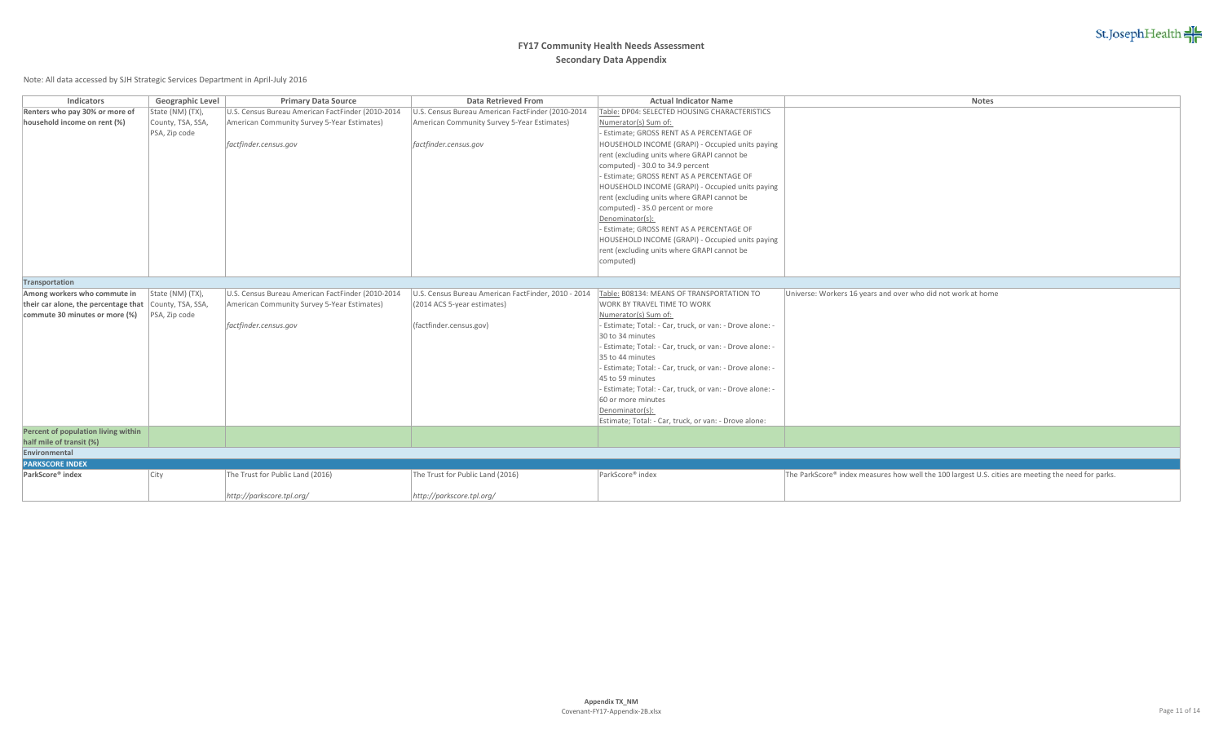

| Indicators                                             | Geographic Level  | <b>Primary Data Source</b>                        | <b>Data Retrieved From</b>                          | <b>Actual Indicator Name</b>                              | <b>Notes</b>                                                                                       |
|--------------------------------------------------------|-------------------|---------------------------------------------------|-----------------------------------------------------|-----------------------------------------------------------|----------------------------------------------------------------------------------------------------|
| Renters who pay 30% or more of                         | State (NM) (TX),  | U.S. Census Bureau American FactFinder (2010-2014 | U.S. Census Bureau American FactFinder (2010-2014   | Table: DP04: SELECTED HOUSING CHARACTERISTICS             |                                                                                                    |
| household income on rent (%)                           | County, TSA, SSA, | American Community Survey 5-Year Estimates)       | American Community Survey 5-Year Estimates)         | Numerator(s) Sum of:                                      |                                                                                                    |
|                                                        | PSA, Zip code     |                                                   |                                                     | - Estimate; GROSS RENT AS A PERCENTAGE OF                 |                                                                                                    |
|                                                        |                   | factfinder.census.gov                             | factfinder.census.gov                               | HOUSEHOLD INCOME (GRAPI) - Occupied units paying          |                                                                                                    |
|                                                        |                   |                                                   |                                                     | rent (excluding units where GRAPI cannot be               |                                                                                                    |
|                                                        |                   |                                                   |                                                     | computed) - 30.0 to 34.9 percent                          |                                                                                                    |
|                                                        |                   |                                                   |                                                     | - Estimate; GROSS RENT AS A PERCENTAGE OF                 |                                                                                                    |
|                                                        |                   |                                                   |                                                     | HOUSEHOLD INCOME (GRAPI) - Occupied units paying          |                                                                                                    |
|                                                        |                   |                                                   |                                                     | rent (excluding units where GRAPI cannot be               |                                                                                                    |
|                                                        |                   |                                                   |                                                     | computed) - 35.0 percent or more                          |                                                                                                    |
|                                                        |                   |                                                   |                                                     | Denominator(s):                                           |                                                                                                    |
|                                                        |                   |                                                   |                                                     | - Estimate; GROSS RENT AS A PERCENTAGE OF                 |                                                                                                    |
|                                                        |                   |                                                   |                                                     | HOUSEHOLD INCOME (GRAPI) - Occupied units paying          |                                                                                                    |
|                                                        |                   |                                                   |                                                     | rent (excluding units where GRAPI cannot be               |                                                                                                    |
|                                                        |                   |                                                   |                                                     | computed)                                                 |                                                                                                    |
|                                                        |                   |                                                   |                                                     |                                                           |                                                                                                    |
| Transportation                                         |                   |                                                   |                                                     |                                                           |                                                                                                    |
| Among workers who commute in                           | State (NM) (TX),  | U.S. Census Bureau American FactFinder (2010-2014 | U.S. Census Bureau American FactFinder, 2010 - 2014 | Table: B08134: MEANS OF TRANSPORTATION TO                 | Universe: Workers 16 years and over who did not work at home                                       |
| their car alone, the percentage that County, TSA, SSA, |                   | American Community Survey 5-Year Estimates)       | (2014 ACS 5-year estimates)                         | <b>WORK BY TRAVEL TIME TO WORK</b>                        |                                                                                                    |
| commute 30 minutes or more (%)                         | PSA, Zip code     |                                                   |                                                     | Numerator(s) Sum of:                                      |                                                                                                    |
|                                                        |                   | factfinder.census.gov                             | (factfinder.census.gov)                             | - Estimate; Total: - Car, truck, or van: - Drove alone: - |                                                                                                    |
|                                                        |                   |                                                   |                                                     | 30 to 34 minutes                                          |                                                                                                    |
|                                                        |                   |                                                   |                                                     | - Estimate; Total: - Car, truck, or van: - Drove alone: - |                                                                                                    |
|                                                        |                   |                                                   |                                                     | 35 to 44 minutes                                          |                                                                                                    |
|                                                        |                   |                                                   |                                                     | - Estimate; Total: - Car, truck, or van: - Drove alone: - |                                                                                                    |
|                                                        |                   |                                                   |                                                     | 45 to 59 minutes                                          |                                                                                                    |
|                                                        |                   |                                                   |                                                     | - Estimate; Total: - Car, truck, or van: - Drove alone: - |                                                                                                    |
|                                                        |                   |                                                   |                                                     | 60 or more minutes                                        |                                                                                                    |
|                                                        |                   |                                                   |                                                     | Denominator(s):                                           |                                                                                                    |
|                                                        |                   |                                                   |                                                     | Estimate; Total: - Car, truck, or van: - Drove alone:     |                                                                                                    |
| Percent of population living within                    |                   |                                                   |                                                     |                                                           |                                                                                                    |
| half mile of transit (%)                               |                   |                                                   |                                                     |                                                           |                                                                                                    |
| Environmental                                          |                   |                                                   |                                                     |                                                           |                                                                                                    |
| <b>PARKSCORE INDEX</b>                                 |                   |                                                   |                                                     |                                                           |                                                                                                    |
| ParkScore® index                                       | City              | The Trust for Public Land (2016)                  | The Trust for Public Land (2016)                    | ParkScore® index                                          | The ParkScore® index measures how well the 100 largest U.S. cities are meeting the need for parks. |
|                                                        |                   | http://parkscore.tpl.org/                         | http://parkscore.tpl.org/                           |                                                           |                                                                                                    |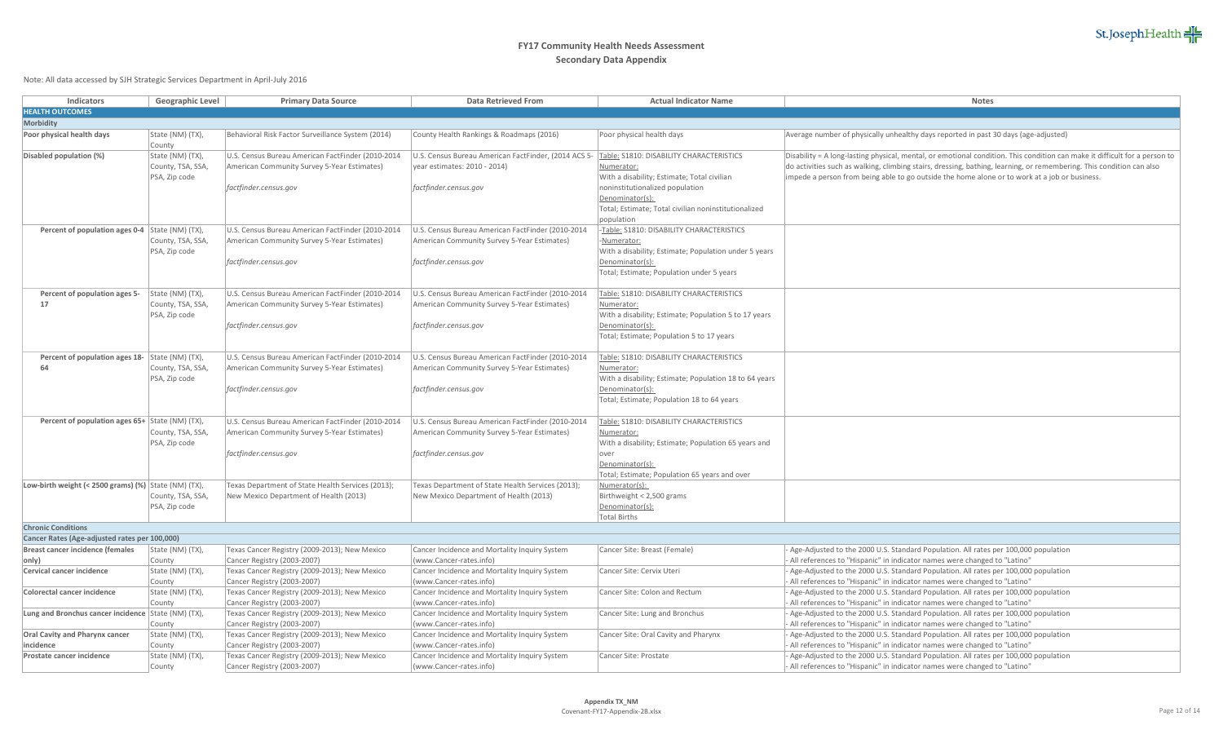

| Indicators                                            | Geographic Level                   | <b>Primary Data Source</b>                                                                  | Data Retrieved From                                                                         | <b>Actual Indicator Name</b>                                         | Notes                                                                                                                                                           |
|-------------------------------------------------------|------------------------------------|---------------------------------------------------------------------------------------------|---------------------------------------------------------------------------------------------|----------------------------------------------------------------------|-----------------------------------------------------------------------------------------------------------------------------------------------------------------|
| <b>HEALTH OUTCOMES</b>                                |                                    |                                                                                             |                                                                                             |                                                                      |                                                                                                                                                                 |
| <b>Morbidity</b>                                      |                                    |                                                                                             |                                                                                             |                                                                      |                                                                                                                                                                 |
| Poor physical health days                             | State (NM) (TX),                   | Behavioral Risk Factor Surveillance System (2014)                                           | County Health Rankings & Roadmaps (2016)                                                    | Poor physical health days                                            | Average number of physically unhealthy days reported in past 30 days (age-adjusted)                                                                             |
|                                                       | County                             |                                                                                             |                                                                                             |                                                                      |                                                                                                                                                                 |
| Disabled population (%)                               | State (NM) (TX),                   | U.S. Census Bureau American FactFinder (2010-2014                                           | U.S. Census Bureau American FactFinder, (2014 ACS 5-                                        | Table: \$1810: DISABILITY CHARACTERISTICS                            | Disability = A long-lasting physical, mental, or emotional condition. This condition can make it difficult for a person to                                      |
|                                                       | County, TSA, SSA,                  | American Community Survey 5-Year Estimates)                                                 | year estimates: 2010 - 2014)                                                                | Numerator:                                                           | do activities such as walking, climbing stairs, dressing, bathing, learning, or remembering. This condition can also                                            |
|                                                       | PSA, Zip code                      |                                                                                             |                                                                                             | With a disability; Estimate; Total civilian                          | impede a person from being able to go outside the home alone or to work at a job or business.                                                                   |
|                                                       |                                    | factfinder.census.gov                                                                       | factfinder.census.gov                                                                       | noninstitutionalized population                                      |                                                                                                                                                                 |
|                                                       |                                    |                                                                                             |                                                                                             | Denominator(s):                                                      |                                                                                                                                                                 |
|                                                       |                                    |                                                                                             |                                                                                             | Total; Estimate; Total civilian noninstitutionalized                 |                                                                                                                                                                 |
|                                                       |                                    |                                                                                             |                                                                                             | population                                                           |                                                                                                                                                                 |
| Percent of population ages 0-4 State (NM) (TX),       |                                    | U.S. Census Bureau American FactFinder (2010-2014                                           | U.S. Census Bureau American FactFinder (2010-2014                                           | -Table: S1810: DISABILITY CHARACTERISTICS                            |                                                                                                                                                                 |
|                                                       | County, TSA, SSA,<br>PSA, Zip code | American Community Survey 5-Year Estimates)                                                 | American Community Survey 5-Year Estimates)                                                 | Numerator:<br>With a disability; Estimate; Population under 5 years  |                                                                                                                                                                 |
|                                                       |                                    | factfinder.census.gov                                                                       | factfinder.census.gov                                                                       | Denominator(s):                                                      |                                                                                                                                                                 |
|                                                       |                                    |                                                                                             |                                                                                             | Total; Estimate; Population under 5 years                            |                                                                                                                                                                 |
|                                                       |                                    |                                                                                             |                                                                                             |                                                                      |                                                                                                                                                                 |
| Percent of population ages 5-                         | State (NM) (TX),                   | U.S. Census Bureau American FactFinder (2010-2014                                           | U.S. Census Bureau American FactFinder (2010-2014                                           | Table: \$1810: DISABILITY CHARACTERISTICS                            |                                                                                                                                                                 |
| 17                                                    | County, TSA, SSA,                  | American Community Survey 5-Year Estimates)                                                 | American Community Survey 5-Year Estimates)                                                 | Numerator:                                                           |                                                                                                                                                                 |
|                                                       | PSA, Zip code                      |                                                                                             |                                                                                             | With a disability; Estimate; Population 5 to 17 years                |                                                                                                                                                                 |
|                                                       |                                    | factfinder.census.gov                                                                       | factfinder.census.gov                                                                       | Denominator(s):                                                      |                                                                                                                                                                 |
|                                                       |                                    |                                                                                             |                                                                                             | Total; Estimate; Population 5 to 17 years                            |                                                                                                                                                                 |
|                                                       |                                    |                                                                                             |                                                                                             |                                                                      |                                                                                                                                                                 |
| Percent of population ages 18- State (NM) (TX),<br>64 |                                    | U.S. Census Bureau American FactFinder (2010-2014                                           | U.S. Census Bureau American FactFinder (2010-2014                                           | Table: S1810: DISABILITY CHARACTERISTICS                             |                                                                                                                                                                 |
|                                                       | County, TSA, SSA,<br>PSA, Zip code | American Community Survey 5-Year Estimates)                                                 | American Community Survey 5-Year Estimates)                                                 | Numerator:<br>With a disability; Estimate; Population 18 to 64 years |                                                                                                                                                                 |
|                                                       |                                    | factfinder.census.gov                                                                       | factfinder.census.gov                                                                       | Denominator(s):                                                      |                                                                                                                                                                 |
|                                                       |                                    |                                                                                             |                                                                                             | Total; Estimate; Population 18 to 64 years                           |                                                                                                                                                                 |
|                                                       |                                    |                                                                                             |                                                                                             |                                                                      |                                                                                                                                                                 |
| Percent of population ages 65+ State (NM) (TX),       |                                    | U.S. Census Bureau American FactFinder (2010-2014                                           | U.S. Census Bureau American FactFinder (2010-2014                                           | Table: \$1810: DISABILITY CHARACTERISTICS                            |                                                                                                                                                                 |
|                                                       | County, TSA, SSA,                  | American Community Survey 5-Year Estimates)                                                 | American Community Survey 5-Year Estimates)                                                 | Numerator:                                                           |                                                                                                                                                                 |
|                                                       | PSA, Zip code                      |                                                                                             |                                                                                             | With a disability; Estimate; Population 65 years and                 |                                                                                                                                                                 |
|                                                       |                                    | factfinder.census.gov                                                                       | factfinder.census.gov                                                                       | lover                                                                |                                                                                                                                                                 |
|                                                       |                                    |                                                                                             |                                                                                             | Denominator(s):                                                      |                                                                                                                                                                 |
|                                                       |                                    |                                                                                             |                                                                                             | Total; Estimate; Population 65 years and over<br>Numerator(s):       |                                                                                                                                                                 |
| Low-birth weight (< 2500 grams) (%) State (NM) (TX),  | County, TSA, SSA,                  | Texas Department of State Health Services (2013);<br>New Mexico Department of Health (2013) | Texas Department of State Health Services (2013);<br>New Mexico Department of Health (2013) | Birthweight < 2,500 grams                                            |                                                                                                                                                                 |
|                                                       | PSA, Zip code                      |                                                                                             |                                                                                             | Denominator(s):                                                      |                                                                                                                                                                 |
|                                                       |                                    |                                                                                             |                                                                                             | <b>Total Births</b>                                                  |                                                                                                                                                                 |
| <b>Chronic Conditions</b>                             |                                    |                                                                                             |                                                                                             |                                                                      |                                                                                                                                                                 |
| Cancer Rates (Age-adjusted rates per 100,000)         |                                    |                                                                                             |                                                                                             |                                                                      |                                                                                                                                                                 |
| Breast cancer incidence (females                      | State (NM) (TX),                   | Texas Cancer Registry (2009-2013); New Mexico                                               | Cancer Incidence and Mortality Inquiry System                                               | Cancer Site: Breast (Female)                                         | Age-Adjusted to the 2000 U.S. Standard Population. All rates per 100,000 population                                                                             |
| only)                                                 | County                             | Cancer Registry (2003-2007)                                                                 | (www.Cancer-rates.info)                                                                     |                                                                      | All references to "Hispanic" in indicator names were changed to "Latino"                                                                                        |
| Cervical cancer incidence                             | State (NM) (TX),                   | Texas Cancer Registry (2009-2013); New Mexico                                               | Cancer Incidence and Mortality Inquiry System                                               | Cancer Site: Cervix Uteri                                            | Age-Adjusted to the 2000 U.S. Standard Population. All rates per 100,000 population                                                                             |
|                                                       | County                             | Cancer Registry (2003-2007)                                                                 | (www.Cancer-rates.info)                                                                     |                                                                      | All references to "Hispanic" in indicator names were changed to "Latino"                                                                                        |
| Colorectal cancer incidence                           | State (NM) (TX),<br>County         | Texas Cancer Registry (2009-2013); New Mexico<br>Cancer Registry (2003-2007)                | Cancer Incidence and Mortality Inquiry System<br>(www.Cancer-rates.info)                    | Cancer Site: Colon and Rectum                                        | Age-Adjusted to the 2000 U.S. Standard Population. All rates per 100,000 population<br>All references to "Hispanic" in indicator names were changed to "Latino" |
| Lung and Bronchus cancer incidence State (NM) (TX),   |                                    | Texas Cancer Registry (2009-2013); New Mexico                                               | Cancer Incidence and Mortality Inquiry System                                               | Cancer Site: Lung and Bronchus                                       | Age-Adjusted to the 2000 U.S. Standard Population. All rates per 100,000 population                                                                             |
|                                                       | County                             | Cancer Registry (2003-2007)                                                                 | (www.Cancer-rates.info)                                                                     |                                                                      | All references to "Hispanic" in indicator names were changed to "Latino"                                                                                        |
| Oral Cavity and Pharynx cancer                        | State (NM) (TX),                   | Texas Cancer Registry (2009-2013); New Mexico                                               | Cancer Incidence and Mortality Inquiry System                                               | Cancer Site: Oral Cavity and Pharynx                                 | Age-Adjusted to the 2000 U.S. Standard Population. All rates per 100,000 population                                                                             |
| incidence                                             | County                             | Cancer Registry (2003-2007)                                                                 | (www.Cancer-rates.info)                                                                     |                                                                      | All references to "Hispanic" in indicator names were changed to "Latino"                                                                                        |
| Prostate cancer incidence                             | State (NM) (TX),                   | Texas Cancer Registry (2009-2013); New Mexico                                               | Cancer Incidence and Mortality Inquiry System                                               | Cancer Site: Prostate                                                | Age-Adjusted to the 2000 U.S. Standard Population. All rates per 100,000 population                                                                             |
|                                                       | County                             | Cancer Registry (2003-2007)                                                                 | (www.Cancer-rates.info)                                                                     |                                                                      | All references to "Hispanic" in indicator names were changed to "Latino"                                                                                        |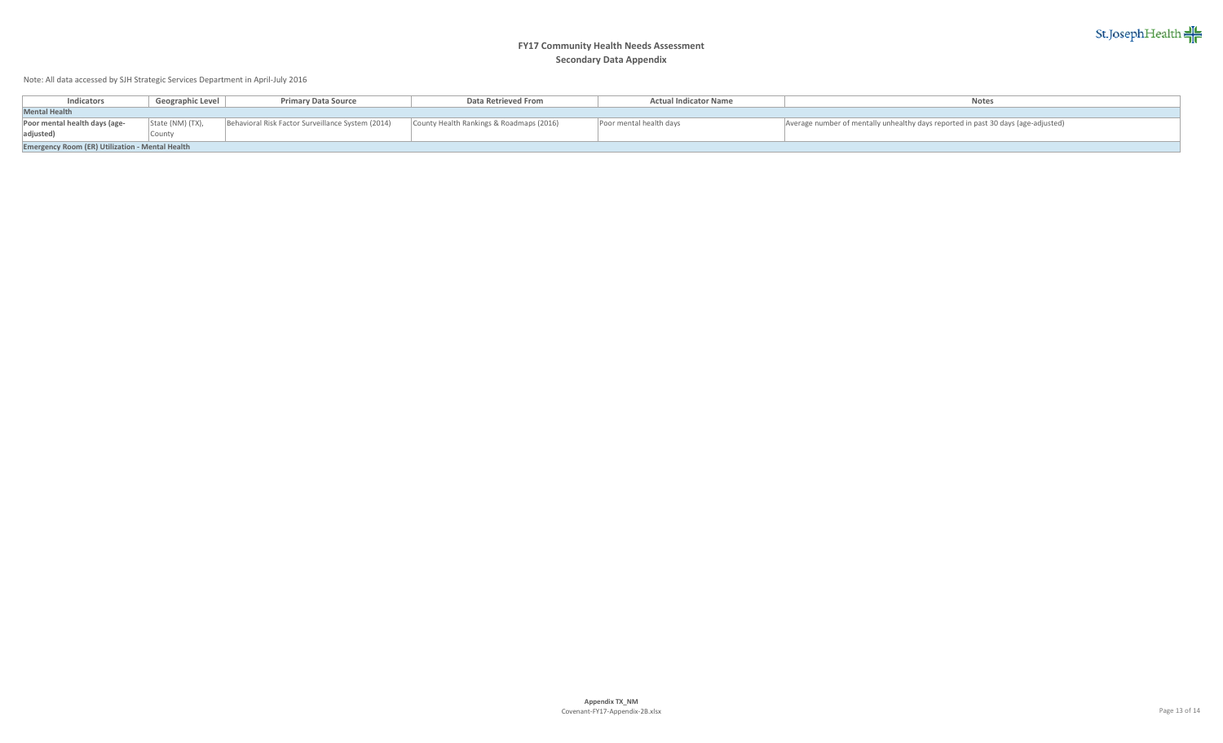

| Indicators                                             | Geographic Level | <b>Primary Data Source</b>                        | Data Retrieved From                      | <b>Actual Indicator Name</b> | <b>Notes</b>                                                                      |  |  |  |  |  |
|--------------------------------------------------------|------------------|---------------------------------------------------|------------------------------------------|------------------------------|-----------------------------------------------------------------------------------|--|--|--|--|--|
| <b>Mental Health</b>                                   |                  |                                                   |                                          |                              |                                                                                   |  |  |  |  |  |
| Poor mental health days (age-<br>adjusted)             | State (NM) (TX), | Behavioral Risk Factor Surveillance System (2014) | County Health Rankings & Roadmaps (2016) | Poor mental health days      | Average number of mentally unhealthy days reported in past 30 days (age-adjusted) |  |  |  |  |  |
| <b>Emergency Room (ER) Utilization - Mental Health</b> |                  |                                                   |                                          |                              |                                                                                   |  |  |  |  |  |